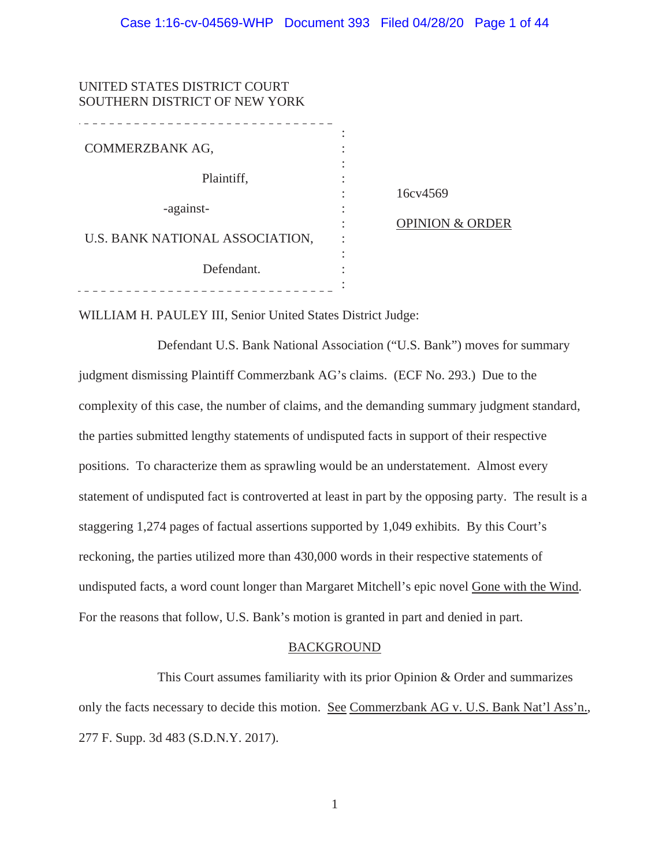| UNITED STATES DISTRICT COURT<br>SOUTHERN DISTRICT OF NEW YORK |                            |
|---------------------------------------------------------------|----------------------------|
| COMMERZBANK AG,                                               |                            |
| Plaintiff,                                                    |                            |
|                                                               | 16cv4569                   |
| -against-                                                     |                            |
| U.S. BANK NATIONAL ASSOCIATION,                               | <b>OPINION &amp; ORDER</b> |
| Defendant.                                                    |                            |
|                                                               |                            |

WILLIAM H. PAULEY III, Senior United States District Judge:

Defendant U.S. Bank National Association ("U.S. Bank") moves for summary judgment dismissing Plaintiff Commerzbank AG's claims. (ECF No. 293.) Due to the complexity of this case, the number of claims, and the demanding summary judgment standard, the parties submitted lengthy statements of undisputed facts in support of their respective positions. To characterize them as sprawling would be an understatement. Almost every statement of undisputed fact is controverted at least in part by the opposing party. The result is a staggering 1,274 pages of factual assertions supported by 1,049 exhibits. By this Court's reckoning, the parties utilized more than 430,000 words in their respective statements of undisputed facts, a word count longer than Margaret Mitchell's epic novel Gone with the Wind. For the reasons that follow, U.S. Bank's motion is granted in part and denied in part.

## BACKGROUND

This Court assumes familiarity with its prior Opinion & Order and summarizes only the facts necessary to decide this motion. See Commerzbank AG v. U.S. Bank Nat'l Ass'n., 277 F. Supp. 3d 483 (S.D.N.Y. 2017).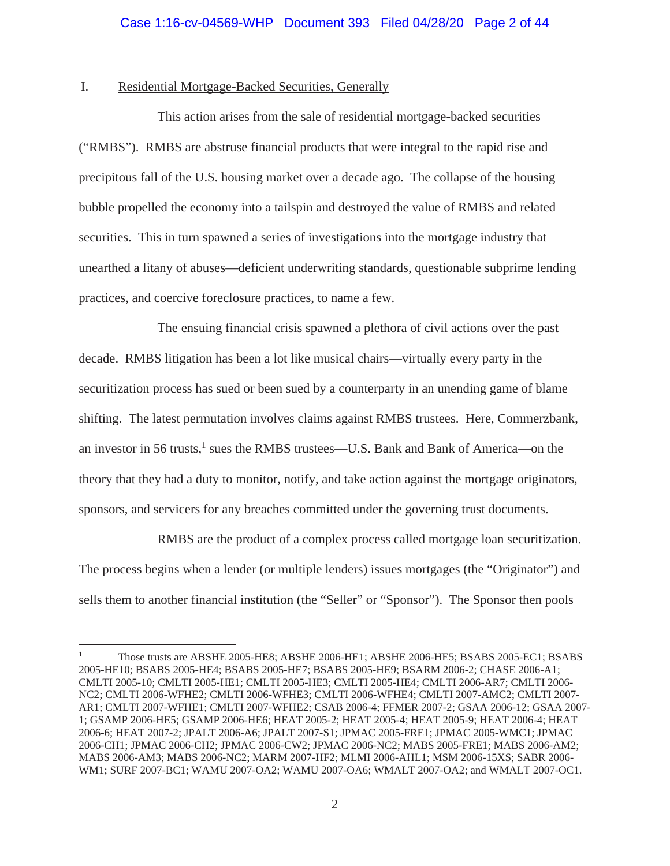## I. Residential Mortgage-Backed Securities, Generally

This action arises from the sale of residential mortgage-backed securities ("RMBS"). RMBS are abstruse financial products that were integral to the rapid rise and precipitous fall of the U.S. housing market over a decade ago. The collapse of the housing bubble propelled the economy into a tailspin and destroyed the value of RMBS and related securities. This in turn spawned a series of investigations into the mortgage industry that unearthed a litany of abuses—deficient underwriting standards, questionable subprime lending practices, and coercive foreclosure practices, to name a few.

The ensuing financial crisis spawned a plethora of civil actions over the past decade. RMBS litigation has been a lot like musical chairs—virtually every party in the securitization process has sued or been sued by a counterparty in an unending game of blame shifting. The latest permutation involves claims against RMBS trustees. Here, Commerzbank, an investor in 56 trusts,<sup>1</sup> sues the RMBS trustees—U.S. Bank and Bank of America—on the theory that they had a duty to monitor, notify, and take action against the mortgage originators, sponsors, and servicers for any breaches committed under the governing trust documents.

RMBS are the product of a complex process called mortgage loan securitization. The process begins when a lender (or multiple lenders) issues mortgages (the "Originator") and sells them to another financial institution (the "Seller" or "Sponsor"). The Sponsor then pools

<sup>1</sup> Those trusts are ABSHE 2005-HE8; ABSHE 2006-HE1; ABSHE 2006-HE5; BSABS 2005-EC1; BSABS 2005-HE10; BSABS 2005-HE4; BSABS 2005-HE7; BSABS 2005-HE9; BSARM 2006-2; CHASE 2006-A1; CMLTI 2005-10; CMLTI 2005-HE1; CMLTI 2005-HE3; CMLTI 2005-HE4; CMLTI 2006-AR7; CMLTI 2006- NC2; CMLTI 2006-WFHE2; CMLTI 2006-WFHE3; CMLTI 2006-WFHE4; CMLTI 2007-AMC2; CMLTI 2007- AR1; CMLTI 2007-WFHE1; CMLTI 2007-WFHE2; CSAB 2006-4; FFMER 2007-2; GSAA 2006-12; GSAA 2007- 1; GSAMP 2006-HE5; GSAMP 2006-HE6; HEAT 2005-2; HEAT 2005-4; HEAT 2005-9; HEAT 2006-4; HEAT 2006-6; HEAT 2007-2; JPALT 2006-A6; JPALT 2007-S1; JPMAC 2005-FRE1; JPMAC 2005-WMC1; JPMAC 2006-CH1; JPMAC 2006-CH2; JPMAC 2006-CW2; JPMAC 2006-NC2; MABS 2005-FRE1; MABS 2006-AM2; MABS 2006-AM3; MABS 2006-NC2; MARM 2007-HF2; MLMI 2006-AHL1; MSM 2006-15XS; SABR 2006- WM1; SURF 2007-BC1; WAMU 2007-OA2; WAMU 2007-OA6; WMALT 2007-OA2; and WMALT 2007-OC1.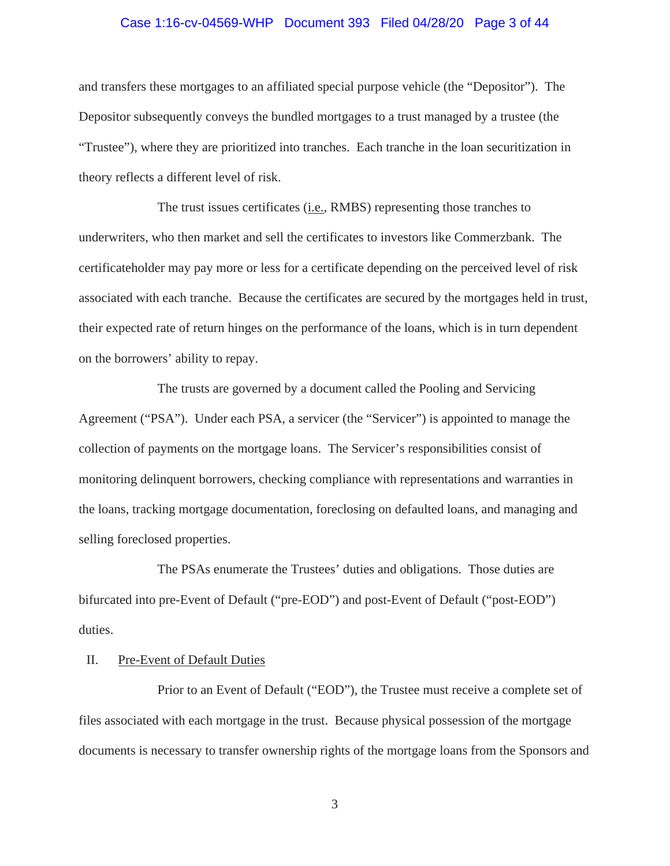#### Case 1:16-cv-04569-WHP Document 393 Filed 04/28/20 Page 3 of 44

and transfers these mortgages to an affiliated special purpose vehicle (the "Depositor"). The Depositor subsequently conveys the bundled mortgages to a trust managed by a trustee (the "Trustee"), where they are prioritized into tranches. Each tranche in the loan securitization in theory reflects a different level of risk.

The trust issues certificates (i.e., RMBS) representing those tranches to underwriters, who then market and sell the certificates to investors like Commerzbank. The certificateholder may pay more or less for a certificate depending on the perceived level of risk associated with each tranche. Because the certificates are secured by the mortgages held in trust, their expected rate of return hinges on the performance of the loans, which is in turn dependent on the borrowers' ability to repay.

The trusts are governed by a document called the Pooling and Servicing Agreement ("PSA"). Under each PSA, a servicer (the "Servicer") is appointed to manage the collection of payments on the mortgage loans. The Servicer's responsibilities consist of monitoring delinquent borrowers, checking compliance with representations and warranties in the loans, tracking mortgage documentation, foreclosing on defaulted loans, and managing and selling foreclosed properties.

The PSAs enumerate the Trustees' duties and obligations. Those duties are bifurcated into pre-Event of Default ("pre-EOD") and post-Event of Default ("post-EOD") duties.

#### II. Pre-Event of Default Duties

Prior to an Event of Default ("EOD"), the Trustee must receive a complete set of files associated with each mortgage in the trust. Because physical possession of the mortgage documents is necessary to transfer ownership rights of the mortgage loans from the Sponsors and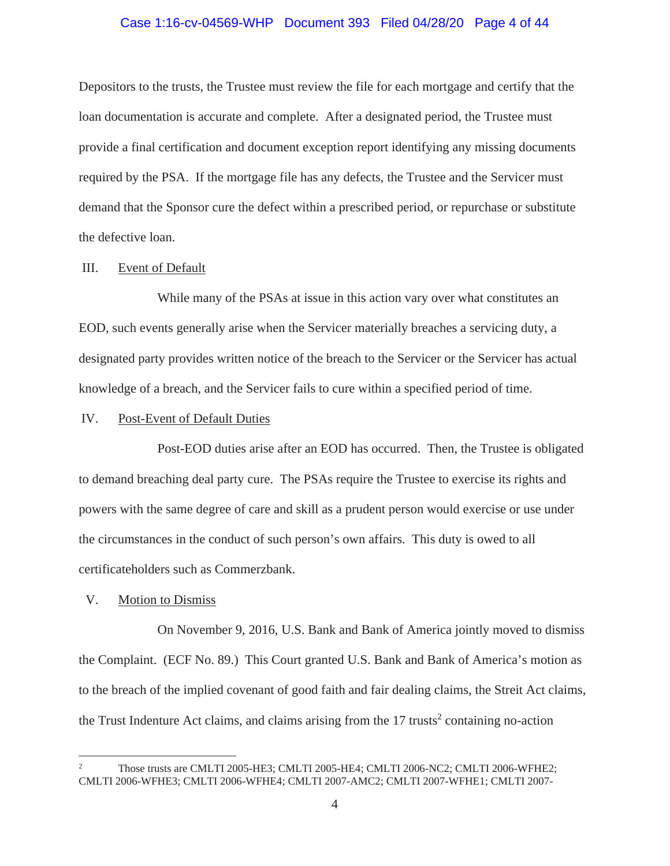#### Case 1:16-cv-04569-WHP Document 393 Filed 04/28/20 Page 4 of 44

Depositors to the trusts, the Trustee must review the file for each mortgage and certify that the loan documentation is accurate and complete. After a designated period, the Trustee must provide a final certification and document exception report identifying any missing documents required by the PSA. If the mortgage file has any defects, the Trustee and the Servicer must demand that the Sponsor cure the defect within a prescribed period, or repurchase or substitute the defective loan.

#### III. Event of Default

While many of the PSAs at issue in this action vary over what constitutes an EOD, such events generally arise when the Servicer materially breaches a servicing duty, a designated party provides written notice of the breach to the Servicer or the Servicer has actual knowledge of a breach, and the Servicer fails to cure within a specified period of time.

## IV. Post-Event of Default Duties

Post-EOD duties arise after an EOD has occurred. Then, the Trustee is obligated to demand breaching deal party cure. The PSAs require the Trustee to exercise its rights and powers with the same degree of care and skill as a prudent person would exercise or use under the circumstances in the conduct of such person's own affairs. This duty is owed to all certificateholders such as Commerzbank.

#### V. Motion to Dismiss

On November 9, 2016, U.S. Bank and Bank of America jointly moved to dismiss the Complaint. (ECF No. 89.) This Court granted U.S. Bank and Bank of America's motion as to the breach of the implied covenant of good faith and fair dealing claims, the Streit Act claims, the Trust Indenture Act claims, and claims arising from the  $17$  trusts<sup>2</sup> containing no-action

<sup>2</sup> Those trusts are CMLTI 2005-HE3; CMLTI 2005-HE4; CMLTI 2006-NC2; CMLTI 2006-WFHE2; CMLTI 2006-WFHE3; CMLTI 2006-WFHE4; CMLTI 2007-AMC2; CMLTI 2007-WFHE1; CMLTI 2007-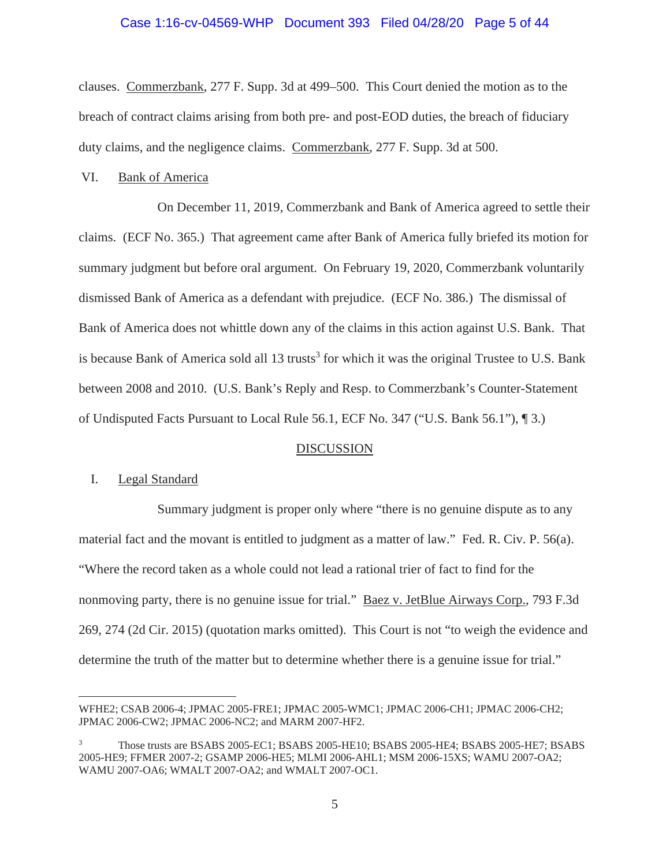# Case 1:16-cv-04569-WHP Document 393 Filed 04/28/20 Page 5 of 44

clauses. Commerzbank, 277 F. Supp. 3d at 499–500. This Court denied the motion as to the breach of contract claims arising from both pre- and post-EOD duties, the breach of fiduciary duty claims, and the negligence claims. Commerzbank, 277 F. Supp. 3d at 500.

#### VI. Bank of America

On December 11, 2019, Commerzbank and Bank of America agreed to settle their claims. (ECF No. 365.) That agreement came after Bank of America fully briefed its motion for summary judgment but before oral argument. On February 19, 2020, Commerzbank voluntarily dismissed Bank of America as a defendant with prejudice. (ECF No. 386.) The dismissal of Bank of America does not whittle down any of the claims in this action against U.S. Bank. That is because Bank of America sold all 13 trusts<sup>3</sup> for which it was the original Trustee to U.S. Bank between 2008 and 2010. (U.S. Bank's Reply and Resp. to Commerzbank's Counter-Statement of Undisputed Facts Pursuant to Local Rule 56.1, ECF No. 347 ("U.S. Bank 56.1"), ¶ 3.)

#### DISCUSSION

## I. Legal Standard

Summary judgment is proper only where "there is no genuine dispute as to any material fact and the movant is entitled to judgment as a matter of law." Fed. R. Civ. P. 56(a). "Where the record taken as a whole could not lead a rational trier of fact to find for the nonmoving party, there is no genuine issue for trial." <u>Baez v. JetBlue Airways Corp.</u>, 793 F.3d 269, 274 (2d Cir. 2015) (quotation marks omitted). This Court is not "to weigh the evidence and determine the truth of the matter but to determine whether there is a genuine issue for trial."

WFHE2; CSAB 2006-4; JPMAC 2005-FRE1; JPMAC 2005-WMC1; JPMAC 2006-CH1; JPMAC 2006-CH2; JPMAC 2006-CW2; JPMAC 2006-NC2; and MARM 2007-HF2.

<sup>3</sup> Those trusts are BSABS 2005-EC1; BSABS 2005-HE10; BSABS 2005-HE4; BSABS 2005-HE7; BSABS 2005-HE9; FFMER 2007-2; GSAMP 2006-HE5; MLMI 2006-AHL1; MSM 2006-15XS; WAMU 2007-OA2; WAMU 2007-OA6; WMALT 2007-OA2; and WMALT 2007-OC1.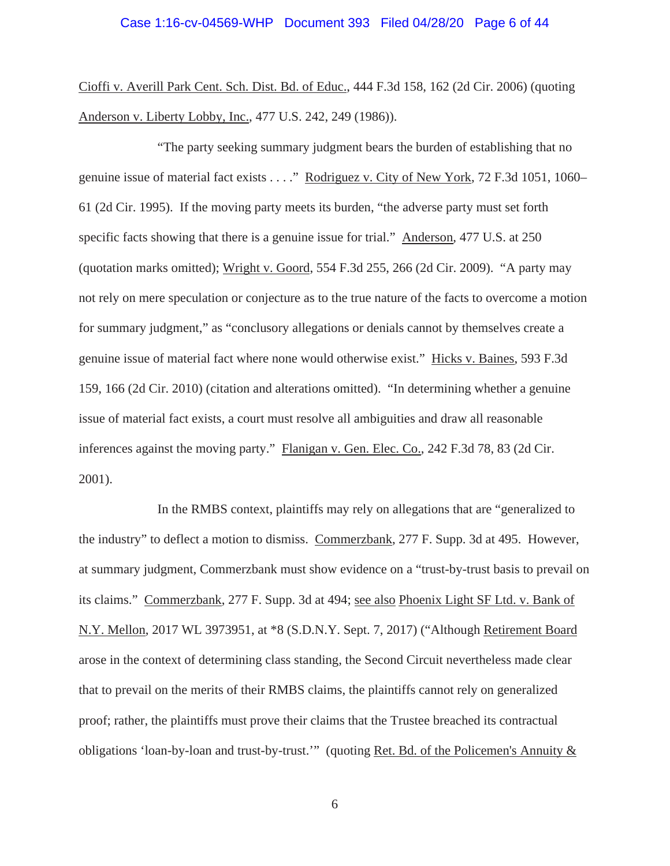Cioffi v. Averill Park Cent. Sch. Dist. Bd. of Educ., 444 F.3d 158, 162 (2d Cir. 2006) (quoting Anderson v. Liberty Lobby, Inc., 477 U.S. 242, 249 (1986)).

"The party seeking summary judgment bears the burden of establishing that no genuine issue of material fact exists . . . ." Rodriguez v. City of New York, 72 F.3d 1051, 1060– 61 (2d Cir. 1995). If the moving party meets its burden, "the adverse party must set forth specific facts showing that there is a genuine issue for trial." Anderson, 477 U.S. at 250 (quotation marks omitted); Wright v. Goord, 554 F.3d 255, 266 (2d Cir. 2009). "A party may not rely on mere speculation or conjecture as to the true nature of the facts to overcome a motion for summary judgment," as "conclusory allegations or denials cannot by themselves create a genuine issue of material fact where none would otherwise exist." Hicks v. Baines, 593 F.3d 159, 166 (2d Cir. 2010) (citation and alterations omitted). "In determining whether a genuine issue of material fact exists, a court must resolve all ambiguities and draw all reasonable inferences against the moving party." Flanigan v. Gen. Elec. Co., 242 F.3d 78, 83 (2d Cir. 2001).

In the RMBS context, plaintiffs may rely on allegations that are "generalized to the industry" to deflect a motion to dismiss. Commerzbank, 277 F. Supp. 3d at 495. However, at summary judgment, Commerzbank must show evidence on a "trust-by-trust basis to prevail on its claims." Commerzbank, 277 F. Supp. 3d at 494; see also Phoenix Light SF Ltd. v. Bank of N.Y. Mellon, 2017 WL 3973951, at \*8 (S.D.N.Y. Sept. 7, 2017) ("Although Retirement Board arose in the context of determining class standing, the Second Circuit nevertheless made clear that to prevail on the merits of their RMBS claims, the plaintiffs cannot rely on generalized proof; rather, the plaintiffs must prove their claims that the Trustee breached its contractual obligations 'loan-by-loan and trust-by-trust.'" (quoting Ret. Bd. of the Policemen's Annuity &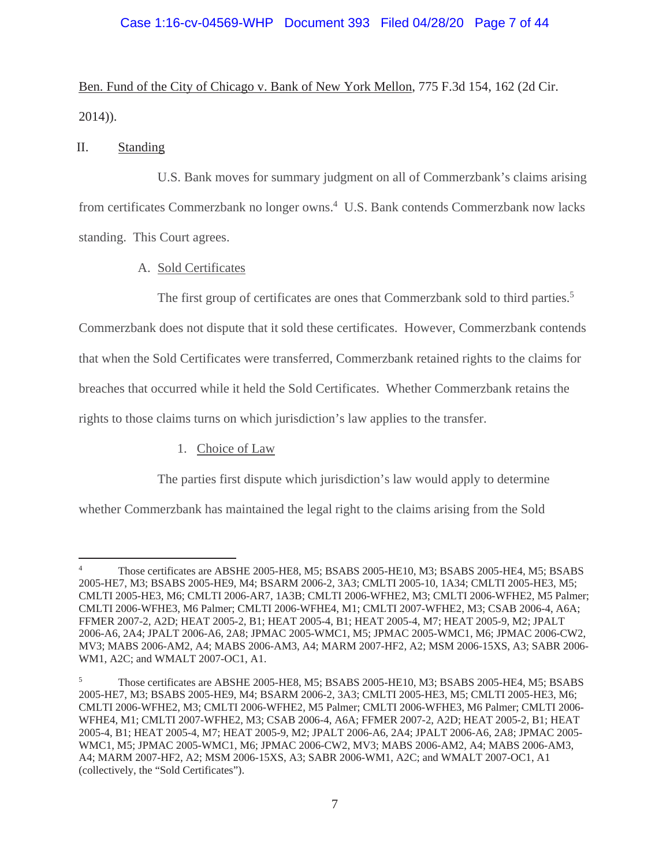# Case 1:16-cv-04569-WHP Document 393 Filed 04/28/20 Page 7 of 44

Ben. Fund of the City of Chicago v. Bank of New York Mellon, 775 F.3d 154, 162 (2d Cir. 2014)).

# II. Standing

U.S. Bank moves for summary judgment on all of Commerzbank's claims arising from certificates Commerzbank no longer owns.<sup>4</sup> U.S. Bank contends Commerzbank now lacks standing. This Court agrees.

A. Sold Certificates

The first group of certificates are ones that Commerzbank sold to third parties.<sup>5</sup>

Commerzbank does not dispute that it sold these certificates. However, Commerzbank contends

that when the Sold Certificates were transferred, Commerzbank retained rights to the claims for

breaches that occurred while it held the Sold Certificates. Whether Commerzbank retains the

rights to those claims turns on which jurisdiction's law applies to the transfer.

1. Choice of Law

The parties first dispute which jurisdiction's law would apply to determine

whether Commerzbank has maintained the legal right to the claims arising from the Sold

<sup>4</sup> Those certificates are ABSHE 2005-HE8, M5; BSABS 2005-HE10, M3; BSABS 2005-HE4, M5; BSABS 2005-HE7, M3; BSABS 2005-HE9, M4; BSARM 2006-2, 3A3; CMLTI 2005-10, 1A34; CMLTI 2005-HE3, M5; CMLTI 2005-HE3, M6; CMLTI 2006-AR7, 1A3B; CMLTI 2006-WFHE2, M3; CMLTI 2006-WFHE2, M5 Palmer; CMLTI 2006-WFHE3, M6 Palmer; CMLTI 2006-WFHE4, M1; CMLTI 2007-WFHE2, M3; CSAB 2006-4, A6A; FFMER 2007-2, A2D; HEAT 2005-2, B1; HEAT 2005-4, B1; HEAT 2005-4, M7; HEAT 2005-9, M2; JPALT 2006-A6, 2A4; JPALT 2006-A6, 2A8; JPMAC 2005-WMC1, M5; JPMAC 2005-WMC1, M6; JPMAC 2006-CW2, MV3; MABS 2006-AM2, A4; MABS 2006-AM3, A4; MARM 2007-HF2, A2; MSM 2006-15XS, A3; SABR 2006- WM1, A2C; and WMALT 2007-OC1, A1.

<sup>5</sup> Those certificates are ABSHE 2005-HE8, M5; BSABS 2005-HE10, M3; BSABS 2005-HE4, M5; BSABS 2005-HE7, M3; BSABS 2005-HE9, M4; BSARM 2006-2, 3A3; CMLTI 2005-HE3, M5; CMLTI 2005-HE3, M6; CMLTI 2006-WFHE2, M3; CMLTI 2006-WFHE2, M5 Palmer; CMLTI 2006-WFHE3, M6 Palmer; CMLTI 2006- WFHE4, M1; CMLTI 2007-WFHE2, M3; CSAB 2006-4, A6A; FFMER 2007-2, A2D; HEAT 2005-2, B1; HEAT 2005-4, B1; HEAT 2005-4, M7; HEAT 2005-9, M2; JPALT 2006-A6, 2A4; JPALT 2006-A6, 2A8; JPMAC 2005- WMC1, M5; JPMAC 2005-WMC1, M6; JPMAC 2006-CW2, MV3; MABS 2006-AM2, A4; MABS 2006-AM3, A4; MARM 2007-HF2, A2; MSM 2006-15XS, A3; SABR 2006-WM1, A2C; and WMALT 2007-OC1, A1 (collectively, the "Sold Certificates").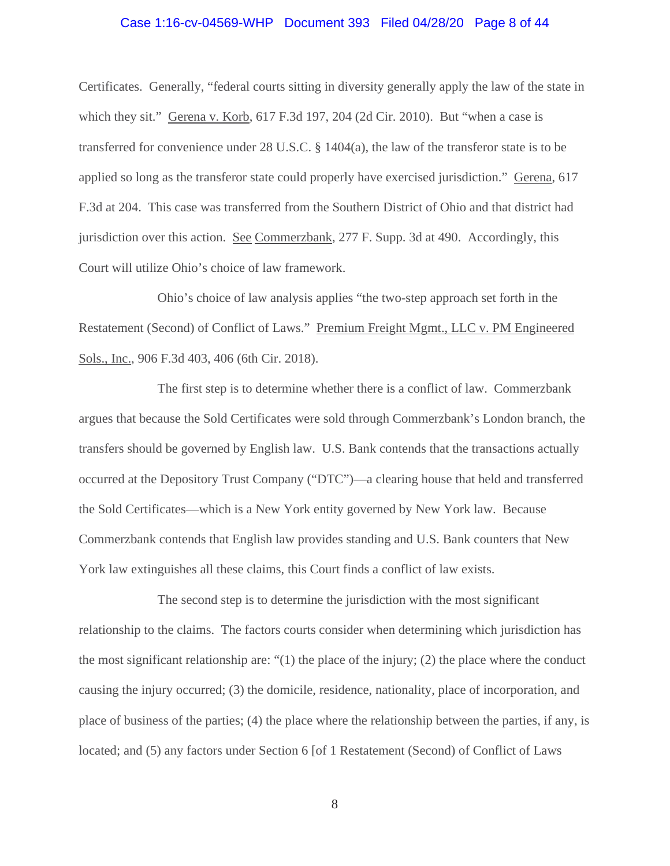#### Case 1:16-cv-04569-WHP Document 393 Filed 04/28/20 Page 8 of 44

Certificates. Generally, "federal courts sitting in diversity generally apply the law of the state in which they sit." Gerena v. Korb, 617 F.3d 197, 204 (2d Cir. 2010). But "when a case is transferred for convenience under 28 U.S.C. § 1404(a), the law of the transferor state is to be applied so long as the transferor state could properly have exercised jurisdiction." Gerena, 617 F.3d at 204. This case was transferred from the Southern District of Ohio and that district had jurisdiction over this action. See Commerzbank, 277 F. Supp. 3d at 490. Accordingly, this Court will utilize Ohio's choice of law framework.

Ohio's choice of law analysis applies "the two-step approach set forth in the Restatement (Second) of Conflict of Laws." Premium Freight Mgmt., LLC v. PM Engineered Sols., Inc., 906 F.3d 403, 406 (6th Cir. 2018).

The first step is to determine whether there is a conflict of law. Commerzbank argues that because the Sold Certificates were sold through Commerzbank's London branch, the transfers should be governed by English law. U.S. Bank contends that the transactions actually occurred at the Depository Trust Company ("DTC")—a clearing house that held and transferred the Sold Certificates—which is a New York entity governed by New York law. Because Commerzbank contends that English law provides standing and U.S. Bank counters that New York law extinguishes all these claims, this Court finds a conflict of law exists.

The second step is to determine the jurisdiction with the most significant relationship to the claims. The factors courts consider when determining which jurisdiction has the most significant relationship are: "(1) the place of the injury; (2) the place where the conduct causing the injury occurred; (3) the domicile, residence, nationality, place of incorporation, and place of business of the parties; (4) the place where the relationship between the parties, if any, is located; and (5) any factors under Section 6 [of 1 Restatement (Second) of Conflict of Laws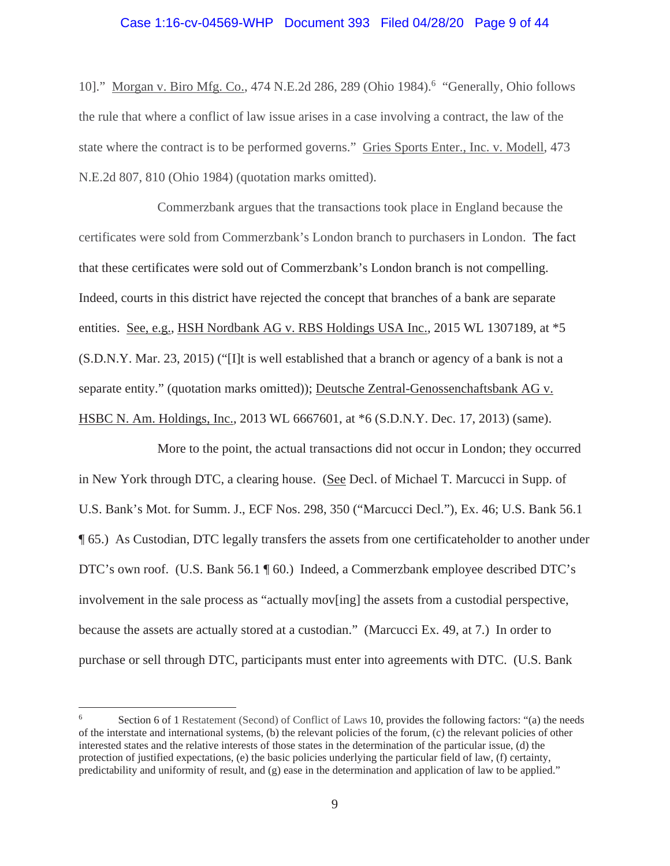# Case 1:16-cv-04569-WHP Document 393 Filed 04/28/20 Page 9 of 44

10]." Morgan v. Biro Mfg. Co., 474 N.E.2d 286, 289 (Ohio 1984).<sup>6</sup> "Generally, Ohio follows the rule that where a conflict of law issue arises in a case involving a contract, the law of the state where the contract is to be performed governs." Gries Sports Enter., Inc. v. Modell, 473 N.E.2d 807, 810 (Ohio 1984) (quotation marks omitted).

Commerzbank argues that the transactions took place in England because the certificates were sold from Commerzbank's London branch to purchasers in London. The fact that these certificates were sold out of Commerzbank's London branch is not compelling. Indeed, courts in this district have rejected the concept that branches of a bank are separate entities. See, e.g., HSH Nordbank AG v. RBS Holdings USA Inc., 2015 WL 1307189, at \*5 (S.D.N.Y. Mar. 23, 2015) ("[I]t is well established that a branch or agency of a bank is not a separate entity." (quotation marks omitted)); Deutsche Zentral-Genossenchaftsbank AG v. HSBC N. Am. Holdings, Inc., 2013 WL 6667601, at \*6 (S.D.N.Y. Dec. 17, 2013) (same).

More to the point, the actual transactions did not occur in London; they occurred in New York through DTC, a clearing house. (See Decl. of Michael T. Marcucci in Supp. of U.S. Bank's Mot. for Summ. J., ECF Nos. 298, 350 ("Marcucci Decl."), Ex. 46; U.S. Bank 56.1 ¶ 65.) As Custodian, DTC legally transfers the assets from one certificateholder to another under DTC's own roof. (U.S. Bank 56.1 ¶ 60.) Indeed, a Commerzbank employee described DTC's involvement in the sale process as "actually mov[ing] the assets from a custodial perspective, because the assets are actually stored at a custodian." (Marcucci Ex. 49, at 7.) In order to purchase or sell through DTC, participants must enter into agreements with DTC. (U.S. Bank

<sup>6</sup> Section 6 of 1 Restatement (Second) of Conflict of Laws 10, provides the following factors: "(a) the needs of the interstate and international systems, (b) the relevant policies of the forum, (c) the relevant policies of other interested states and the relative interests of those states in the determination of the particular issue, (d) the protection of justified expectations, (e) the basic policies underlying the particular field of law, (f) certainty, predictability and uniformity of result, and  $(g)$  ease in the determination and application of law to be applied."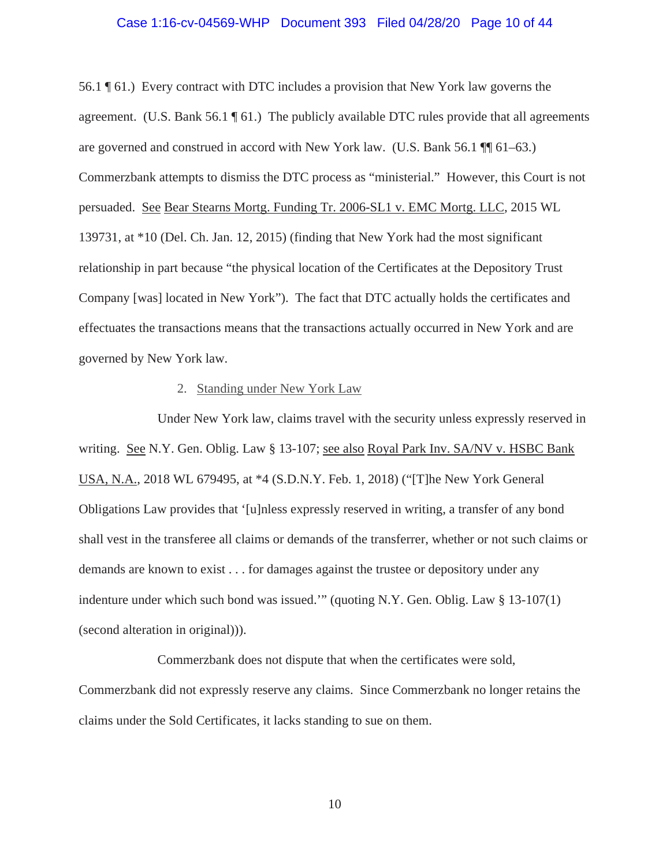#### Case 1:16-cv-04569-WHP Document 393 Filed 04/28/20 Page 10 of 44

56.1 ¶ 61.) Every contract with DTC includes a provision that New York law governs the agreement. (U.S. Bank  $56.1 \text{ }\mathcal{F}$  61.) The publicly available DTC rules provide that all agreements are governed and construed in accord with New York law. (U.S. Bank 56.1 ¶¶ 61–63.) Commerzbank attempts to dismiss the DTC process as "ministerial." However, this Court is not persuaded. See Bear Stearns Mortg. Funding Tr. 2006-SL1 v. EMC Mortg. LLC, 2015 WL 139731, at \*10 (Del. Ch. Jan. 12, 2015) (finding that New York had the most significant relationship in part because "the physical location of the Certificates at the Depository Trust Company [was] located in New York"). The fact that DTC actually holds the certificates and effectuates the transactions means that the transactions actually occurred in New York and are governed by New York law.

#### 2. Standing under New York Law

Under New York law, claims travel with the security unless expressly reserved in writing. See N.Y. Gen. Oblig. Law § 13-107; see also Royal Park Inv. SA/NV v. HSBC Bank USA, N.A., 2018 WL 679495, at \*4 (S.D.N.Y. Feb. 1, 2018) ("[T]he New York General Obligations Law provides that '[u]nless expressly reserved in writing, a transfer of any bond shall vest in the transferee all claims or demands of the transferrer, whether or not such claims or demands are known to exist . . . for damages against the trustee or depository under any indenture under which such bond was issued.'" (quoting N.Y. Gen. Oblig. Law § 13-107(1) (second alteration in original))).

Commerzbank does not dispute that when the certificates were sold, Commerzbank did not expressly reserve any claims. Since Commerzbank no longer retains the claims under the Sold Certificates, it lacks standing to sue on them.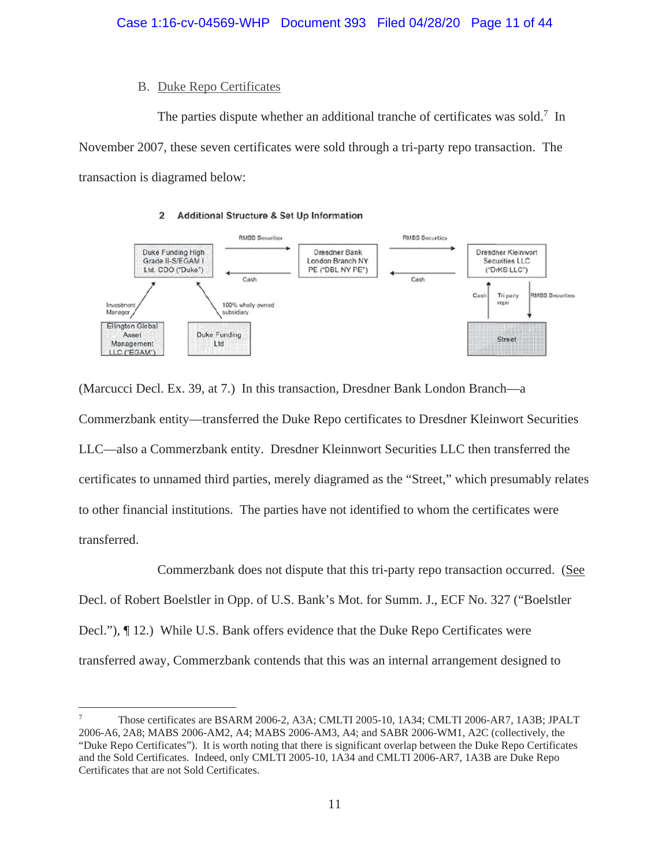# B. Duke Repo Certificates

The parties dispute whether an additional tranche of certificates was sold.<sup>7</sup> In November 2007, these seven certificates were sold through a tri-party repo transaction. The transaction is diagramed below:

#### **Additional Structure & Set Up Information**  $\overline{2}$



(Marcucci Decl. Ex. 39, at 7.) In this transaction, Dresdner Bank London Branch—a Commerzbank entity—transferred the Duke Repo certificates to Dresdner Kleinwort Securities LLC—also a Commerzbank entity. Dresdner Kleinnwort Securities LLC then transferred the certificates to unnamed third parties, merely diagramed as the "Street," which presumably relates to other financial institutions. The parties have not identified to whom the certificates were transferred.

Commerzbank does not dispute that this tri-party repo transaction occurred. (See Decl. of Robert Boelstler in Opp. of U.S. Bank's Mot. for Summ. J., ECF No. 327 ("Boelstler Decl."), ¶ 12.) While U.S. Bank offers evidence that the Duke Repo Certificates were transferred away, Commerzbank contends that this was an internal arrangement designed to

<sup>7</sup> Those certificates are BSARM 2006-2, A3A; CMLTI 2005-10, 1A34; CMLTI 2006-AR7, 1A3B; JPALT 2006-A6, 2A8; MABS 2006-AM2, A4; MABS 2006-AM3, A4; and SABR 2006-WM1, A2C (collectively, the "Duke Repo Certificates"). It is worth noting that there is significant overlap between the Duke Repo Certificates and the Sold Certificates. Indeed, only CMLTI 2005-10, 1A34 and CMLTI 2006-AR7, 1A3B are Duke Repo Certificates that are not Sold Certificates.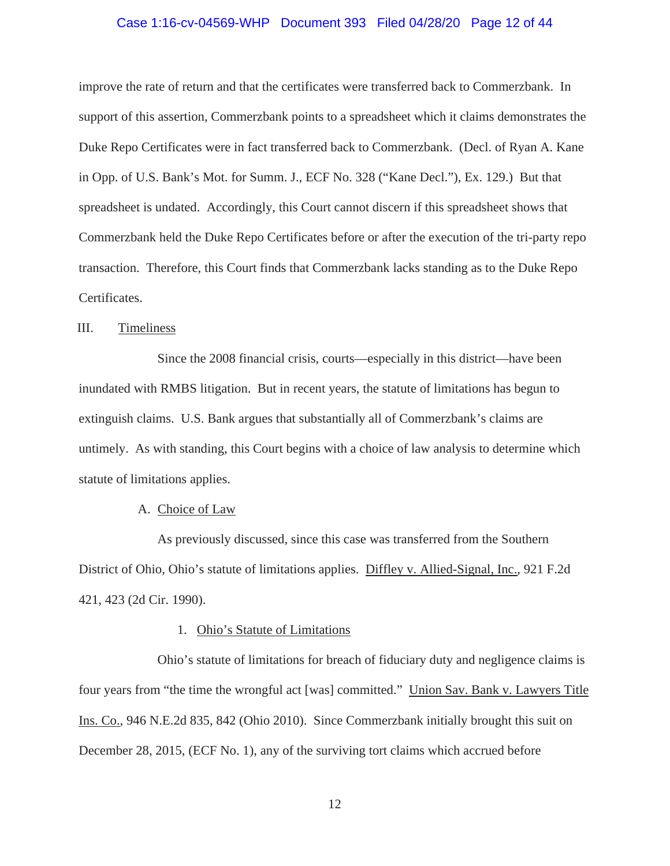#### Case 1:16-cv-04569-WHP Document 393 Filed 04/28/20 Page 12 of 44

improve the rate of return and that the certificates were transferred back to Commerzbank. In support of this assertion, Commerzbank points to a spreadsheet which it claims demonstrates the Duke Repo Certificates were in fact transferred back to Commerzbank. (Decl. of Ryan A. Kane in Opp. of U.S. Bank's Mot. for Summ. J., ECF No. 328 ("Kane Decl."), Ex. 129.) But that spreadsheet is undated. Accordingly, this Court cannot discern if this spreadsheet shows that Commerzbank held the Duke Repo Certificates before or after the execution of the tri-party repo transaction. Therefore, this Court finds that Commerzbank lacks standing as to the Duke Repo Certificates.

## III. Timeliness

Since the 2008 financial crisis, courts—especially in this district—have been inundated with RMBS litigation. But in recent years, the statute of limitations has begun to extinguish claims. U.S. Bank argues that substantially all of Commerzbank's claims are untimely. As with standing, this Court begins with a choice of law analysis to determine which statute of limitations applies.

#### A. Choice of Law

As previously discussed, since this case was transferred from the Southern District of Ohio, Ohio's statute of limitations applies. Diffley v. Allied-Signal, Inc., 921 F.2d 421, 423 (2d Cir. 1990).

#### 1. Ohio's Statute of Limitations

Ohio's statute of limitations for breach of fiduciary duty and negligence claims is four years from "the time the wrongful act [was] committed." Union Sav. Bank v. Lawyers Title Ins. Co., 946 N.E.2d 835, 842 (Ohio 2010). Since Commerzbank initially brought this suit on December 28, 2015, (ECF No. 1), any of the surviving tort claims which accrued before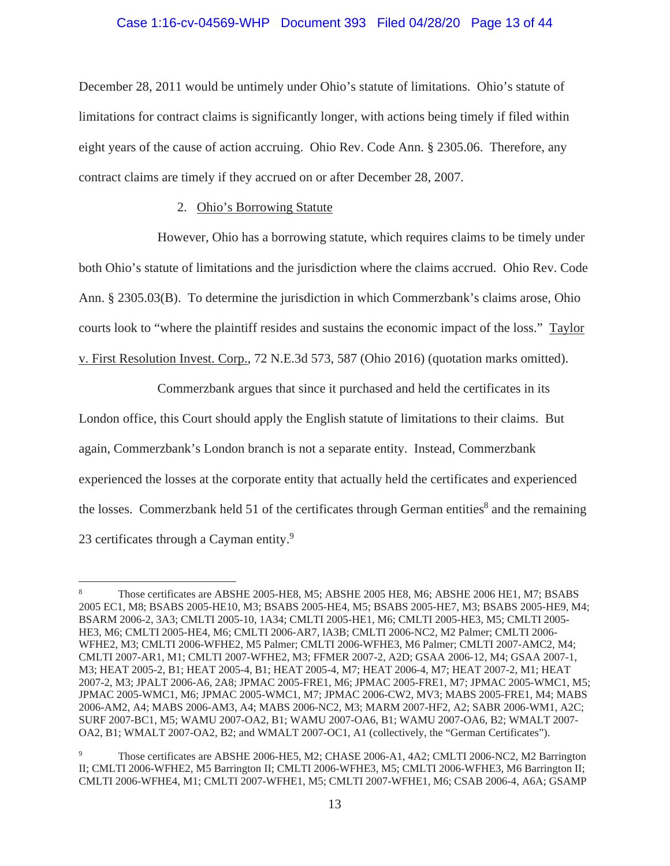## Case 1:16-cv-04569-WHP Document 393 Filed 04/28/20 Page 13 of 44

December 28, 2011 would be untimely under Ohio's statute of limitations. Ohio's statute of limitations for contract claims is significantly longer, with actions being timely if filed within eight years of the cause of action accruing. Ohio Rev. Code Ann. § 2305.06. Therefore, any contract claims are timely if they accrued on or after December 28, 2007.

## 2. Ohio's Borrowing Statute

However, Ohio has a borrowing statute, which requires claims to be timely under both Ohio's statute of limitations and the jurisdiction where the claims accrued. Ohio Rev. Code Ann. § 2305.03(B). To determine the jurisdiction in which Commerzbank's claims arose, Ohio courts look to "where the plaintiff resides and sustains the economic impact of the loss." Taylor v. First Resolution Invest. Corp., 72 N.E.3d 573, 587 (Ohio 2016) (quotation marks omitted).

Commerzbank argues that since it purchased and held the certificates in its

London office, this Court should apply the English statute of limitations to their claims. But again, Commerzbank's London branch is not a separate entity. Instead, Commerzbank experienced the losses at the corporate entity that actually held the certificates and experienced the losses. Commerzbank held 51 of the certificates through German entities<sup>8</sup> and the remaining

23 certificates through a Cayman entity.9

<sup>8</sup> Those certificates are ABSHE 2005-HE8, M5; ABSHE 2005 HE8, M6; ABSHE 2006 HE1, M7; BSABS 2005 EC1, M8; BSABS 2005-HE10, M3; BSABS 2005-HE4, M5; BSABS 2005-HE7, M3; BSABS 2005-HE9, M4; BSARM 2006-2, 3A3; CMLTI 2005-10, 1A34; CMLTI 2005-HE1, M6; CMLTI 2005-HE3, M5; CMLTI 2005- HE3, M6; CMLTI 2005-HE4, M6; CMLTI 2006-AR7, lA3B; CMLTI 2006-NC2, M2 Palmer; CMLTI 2006- WFHE2, M3; CMLTI 2006-WFHE2, M5 Palmer; CMLTI 2006-WFHE3, M6 Palmer; CMLTI 2007-AMC2, M4; CMLTI 2007-AR1, M1; CMLTI 2007-WFHE2, M3; FFMER 2007-2, A2D; GSAA 2006-12, M4; GSAA 2007-1, M3; HEAT 2005-2, B1; HEAT 2005-4, B1; HEAT 2005-4, M7; HEAT 2006-4, M7; HEAT 2007-2, M1; HEAT 2007-2, M3; JPALT 2006-A6, 2A8; JPMAC 2005-FRE1, M6; JPMAC 2005-FRE1, M7; JPMAC 2005-WMC1, M5; JPMAC 2005-WMC1, M6; JPMAC 2005-WMC1, M7; JPMAC 2006-CW2, MV3; MABS 2005-FRE1, M4; MABS 2006-AM2, A4; MABS 2006-AM3, A4; MABS 2006-NC2, M3; MARM 2007-HF2, A2; SABR 2006-WM1, A2C; SURF 2007-BC1, M5; WAMU 2007-OA2, B1; WAMU 2007-OA6, B1; WAMU 2007-OA6, B2; WMALT 2007- OA2, B1; WMALT 2007-OA2, B2; and WMALT 2007-OC1, A1 (collectively, the "German Certificates").

<sup>9</sup> Those certificates are ABSHE 2006-HE5, M2; CHASE 2006-A1, 4A2; CMLTI 2006-NC2, M2 Barrington II; CMLTI 2006-WFHE2, M5 Barrington II; CMLTI 2006-WFHE3, M5; CMLTI 2006-WFHE3, M6 Barrington II; CMLTI 2006-WFHE4, M1; CMLTI 2007-WFHE1, M5; CMLTI 2007-WFHE1, M6; CSAB 2006-4, A6A; GSAMP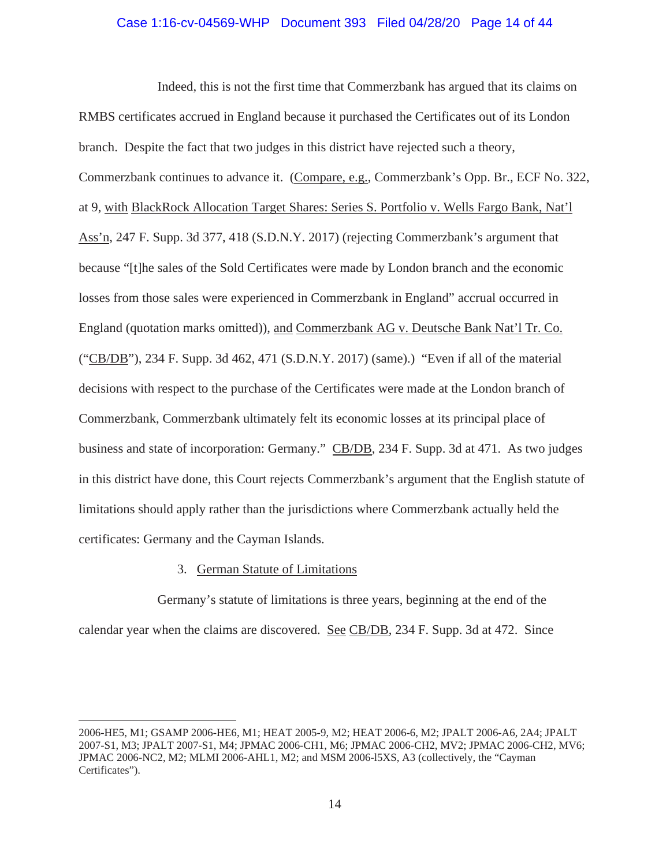## Case 1:16-cv-04569-WHP Document 393 Filed 04/28/20 Page 14 of 44

Indeed, this is not the first time that Commerzbank has argued that its claims on RMBS certificates accrued in England because it purchased the Certificates out of its London branch. Despite the fact that two judges in this district have rejected such a theory, Commerzbank continues to advance it. (Compare, e.g., Commerzbank's Opp. Br., ECF No. 322, at 9, with BlackRock Allocation Target Shares: Series S. Portfolio v. Wells Fargo Bank, Nat'l Ass'n, 247 F. Supp. 3d 377, 418 (S.D.N.Y. 2017) (rejecting Commerzbank's argument that because "[t]he sales of the Sold Certificates were made by London branch and the economic losses from those sales were experienced in Commerzbank in England" accrual occurred in England (quotation marks omitted)), and Commerzbank AG v. Deutsche Bank Nat'l Tr. Co. ("CB/DB"), 234 F. Supp. 3d 462, 471 (S.D.N.Y. 2017) (same).) "Even if all of the material decisions with respect to the purchase of the Certificates were made at the London branch of Commerzbank, Commerzbank ultimately felt its economic losses at its principal place of business and state of incorporation: Germany." CB/DB, 234 F. Supp. 3d at 471. As two judges in this district have done, this Court rejects Commerzbank's argument that the English statute of limitations should apply rather than the jurisdictions where Commerzbank actually held the certificates: Germany and the Cayman Islands.

## 3. German Statute of Limitations

Germany's statute of limitations is three years, beginning at the end of the calendar year when the claims are discovered. See CB/DB, 234 F. Supp. 3d at 472. Since

<sup>2006-</sup>HE5, M1; GSAMP 2006-HE6, M1; HEAT 2005-9, M2; HEAT 2006-6, M2; JPALT 2006-A6, 2A4; JPALT 2007-S1, M3; JPALT 2007-S1, M4; JPMAC 2006-CH1, M6; JPMAC 2006-CH2, MV2; JPMAC 2006-CH2, MV6; JPMAC 2006-NC2, M2; MLMI 2006-AHL1, M2; and MSM 2006-l5XS, A3 (collectively, the "Cayman Certificates").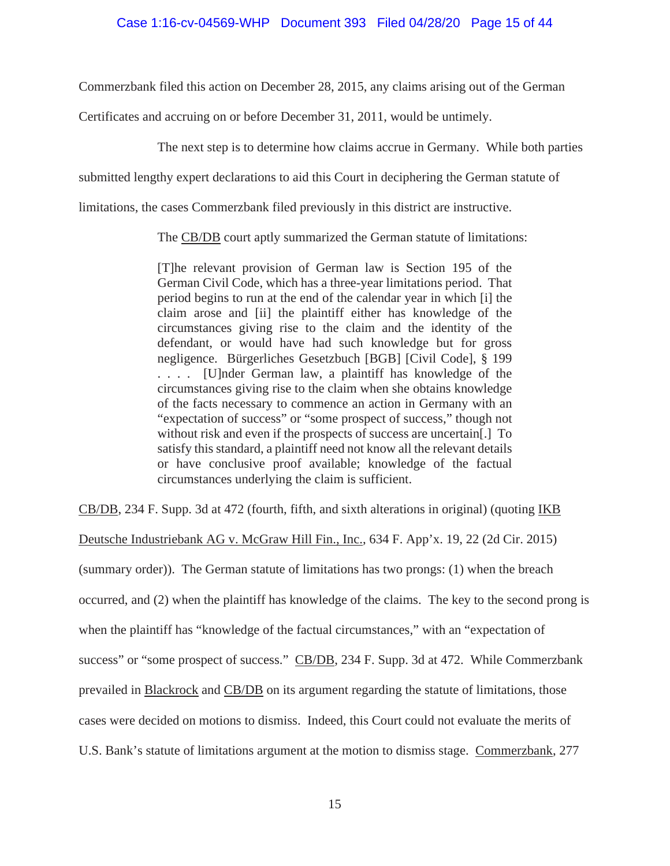Commerzbank filed this action on December 28, 2015, any claims arising out of the German

Certificates and accruing on or before December 31, 2011, would be untimely.

The next step is to determine how claims accrue in Germany. While both parties

submitted lengthy expert declarations to aid this Court in deciphering the German statute of

limitations, the cases Commerzbank filed previously in this district are instructive.

The CB/DB court aptly summarized the German statute of limitations:

[T]he relevant provision of German law is Section 195 of the German Civil Code, which has a three-year limitations period. That period begins to run at the end of the calendar year in which [i] the claim arose and [ii] the plaintiff either has knowledge of the circumstances giving rise to the claim and the identity of the defendant, or would have had such knowledge but for gross negligence. Bürgerliches Gesetzbuch [BGB] [Civil Code], § 199 . . . . [U]nder German law, a plaintiff has knowledge of the circumstances giving rise to the claim when she obtains knowledge of the facts necessary to commence an action in Germany with an "expectation of success" or "some prospect of success," though not without risk and even if the prospects of success are uncertain[.] To satisfy this standard, a plaintiff need not know all the relevant details or have conclusive proof available; knowledge of the factual circumstances underlying the claim is sufficient.

CB/DB, 234 F. Supp. 3d at 472 (fourth, fifth, and sixth alterations in original) (quoting IKB

Deutsche Industriebank AG v. McGraw Hill Fin., Inc., 634 F. App'x. 19, 22 (2d Cir. 2015)

(summary order)). The German statute of limitations has two prongs: (1) when the breach occurred, and (2) when the plaintiff has knowledge of the claims. The key to the second prong is when the plaintiff has "knowledge of the factual circumstances," with an "expectation of success" or "some prospect of success." CB/DB, 234 F. Supp. 3d at 472. While Commerzbank prevailed in Blackrock and CB/DB on its argument regarding the statute of limitations, those cases were decided on motions to dismiss. Indeed, this Court could not evaluate the merits of U.S. Bank's statute of limitations argument at the motion to dismiss stage. Commerzbank, 277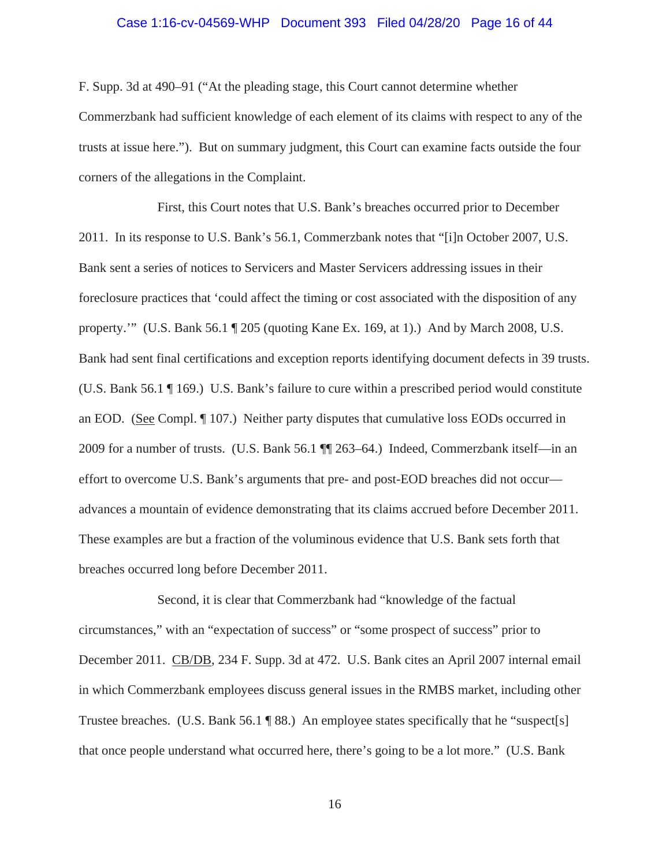#### Case 1:16-cv-04569-WHP Document 393 Filed 04/28/20 Page 16 of 44

F. Supp. 3d at 490–91 ("At the pleading stage, this Court cannot determine whether Commerzbank had sufficient knowledge of each element of its claims with respect to any of the trusts at issue here."). But on summary judgment, this Court can examine facts outside the four corners of the allegations in the Complaint.

First, this Court notes that U.S. Bank's breaches occurred prior to December 2011. In its response to U.S. Bank's 56.1, Commerzbank notes that "[i]n October 2007, U.S. Bank sent a series of notices to Servicers and Master Servicers addressing issues in their foreclosure practices that 'could affect the timing or cost associated with the disposition of any property.'" (U.S. Bank 56.1 ¶ 205 (quoting Kane Ex. 169, at 1).) And by March 2008, U.S. Bank had sent final certifications and exception reports identifying document defects in 39 trusts. (U.S. Bank 56.1 ¶ 169.) U.S. Bank's failure to cure within a prescribed period would constitute an EOD. (See Compl. ¶ 107.) Neither party disputes that cumulative loss EODs occurred in 2009 for a number of trusts. (U.S. Bank 56.1 ¶¶ 263–64.) Indeed, Commerzbank itself—in an effort to overcome U.S. Bank's arguments that pre- and post-EOD breaches did not occur advances a mountain of evidence demonstrating that its claims accrued before December 2011. These examples are but a fraction of the voluminous evidence that U.S. Bank sets forth that breaches occurred long before December 2011.

Second, it is clear that Commerzbank had "knowledge of the factual circumstances," with an "expectation of success" or "some prospect of success" prior to December 2011. CB/DB, 234 F. Supp. 3d at 472. U.S. Bank cites an April 2007 internal email in which Commerzbank employees discuss general issues in the RMBS market, including other Trustee breaches. (U.S. Bank 56.1 ¶ 88.) An employee states specifically that he "suspect[s] that once people understand what occurred here, there's going to be a lot more." (U.S. Bank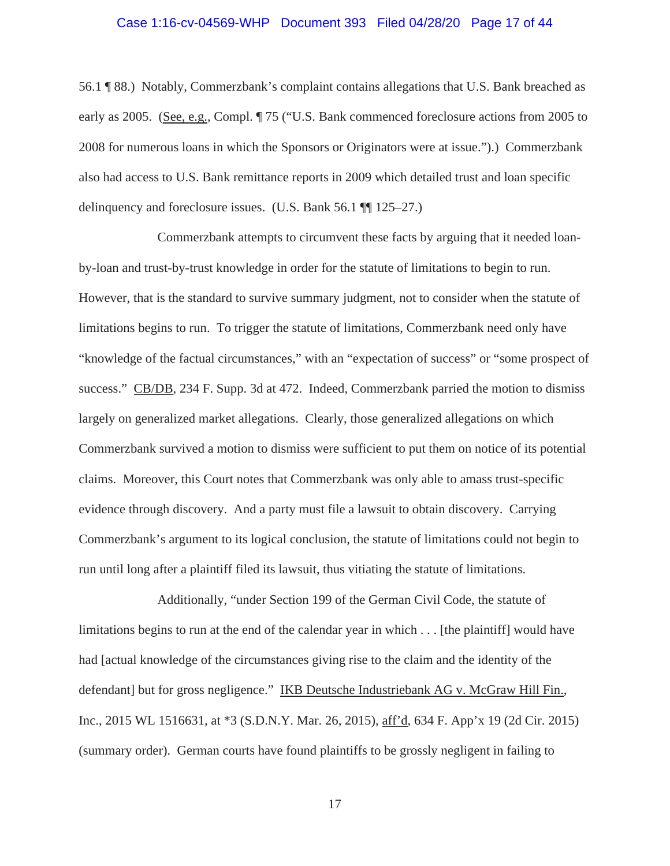#### Case 1:16-cv-04569-WHP Document 393 Filed 04/28/20 Page 17 of 44

56.1 ¶ 88.) Notably, Commerzbank's complaint contains allegations that U.S. Bank breached as early as 2005. (See, e.g., Compl. ¶ 75 ("U.S. Bank commenced foreclosure actions from 2005 to 2008 for numerous loans in which the Sponsors or Originators were at issue.").) Commerzbank also had access to U.S. Bank remittance reports in 2009 which detailed trust and loan specific delinquency and foreclosure issues. (U.S. Bank 56.1 ¶¶ 125–27.)

Commerzbank attempts to circumvent these facts by arguing that it needed loanby-loan and trust-by-trust knowledge in order for the statute of limitations to begin to run. However, that is the standard to survive summary judgment, not to consider when the statute of limitations begins to run. To trigger the statute of limitations, Commerzbank need only have "knowledge of the factual circumstances," with an "expectation of success" or "some prospect of success." CB/DB, 234 F. Supp. 3d at 472. Indeed, Commerzbank parried the motion to dismiss largely on generalized market allegations. Clearly, those generalized allegations on which Commerzbank survived a motion to dismiss were sufficient to put them on notice of its potential claims. Moreover, this Court notes that Commerzbank was only able to amass trust-specific evidence through discovery. And a party must file a lawsuit to obtain discovery. Carrying Commerzbank's argument to its logical conclusion, the statute of limitations could not begin to run until long after a plaintiff filed its lawsuit, thus vitiating the statute of limitations.

Additionally, "under Section 199 of the German Civil Code, the statute of limitations begins to run at the end of the calendar year in which . . . [the plaintiff] would have had [actual knowledge of the circumstances giving rise to the claim and the identity of the defendant] but for gross negligence." IKB Deutsche Industriebank AG v. McGraw Hill Fin., Inc., 2015 WL 1516631, at \*3 (S.D.N.Y. Mar. 26, 2015), aff'd, 634 F. App'x 19 (2d Cir. 2015) (summary order). German courts have found plaintiffs to be grossly negligent in failing to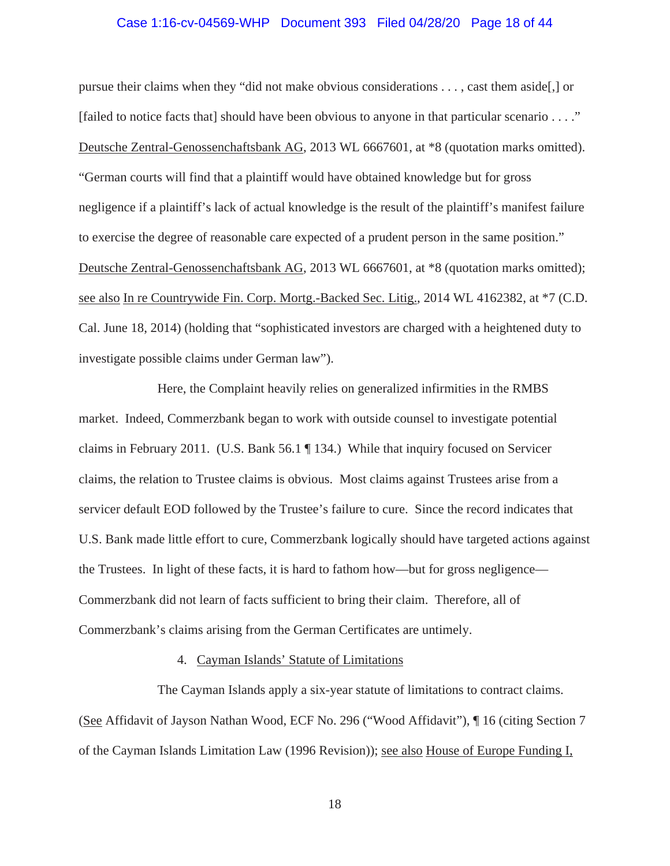#### Case 1:16-cv-04569-WHP Document 393 Filed 04/28/20 Page 18 of 44

pursue their claims when they "did not make obvious considerations . . . , cast them aside[,] or [failed to notice facts that] should have been obvious to anyone in that particular scenario . . . ." Deutsche Zentral-Genossenchaftsbank AG, 2013 WL 6667601, at \*8 (quotation marks omitted). "German courts will find that a plaintiff would have obtained knowledge but for gross negligence if a plaintiff's lack of actual knowledge is the result of the plaintiff's manifest failure to exercise the degree of reasonable care expected of a prudent person in the same position." Deutsche Zentral-Genossenchaftsbank AG, 2013 WL 6667601, at \*8 (quotation marks omitted); see also In re Countrywide Fin. Corp. Mortg.-Backed Sec. Litig., 2014 WL 4162382, at \*7 (C.D. Cal. June 18, 2014) (holding that "sophisticated investors are charged with a heightened duty to investigate possible claims under German law").

Here, the Complaint heavily relies on generalized infirmities in the RMBS market. Indeed, Commerzbank began to work with outside counsel to investigate potential claims in February 2011. (U.S. Bank 56.1 ¶ 134.) While that inquiry focused on Servicer claims, the relation to Trustee claims is obvious. Most claims against Trustees arise from a servicer default EOD followed by the Trustee's failure to cure. Since the record indicates that U.S. Bank made little effort to cure, Commerzbank logically should have targeted actions against the Trustees. In light of these facts, it is hard to fathom how—but for gross negligence— Commerzbank did not learn of facts sufficient to bring their claim. Therefore, all of Commerzbank's claims arising from the German Certificates are untimely.

#### 4. Cayman Islands' Statute of Limitations

The Cayman Islands apply a six-year statute of limitations to contract claims. (See Affidavit of Jayson Nathan Wood, ECF No. 296 ("Wood Affidavit"), ¶ 16 (citing Section 7 of the Cayman Islands Limitation Law (1996 Revision)); see also House of Europe Funding I,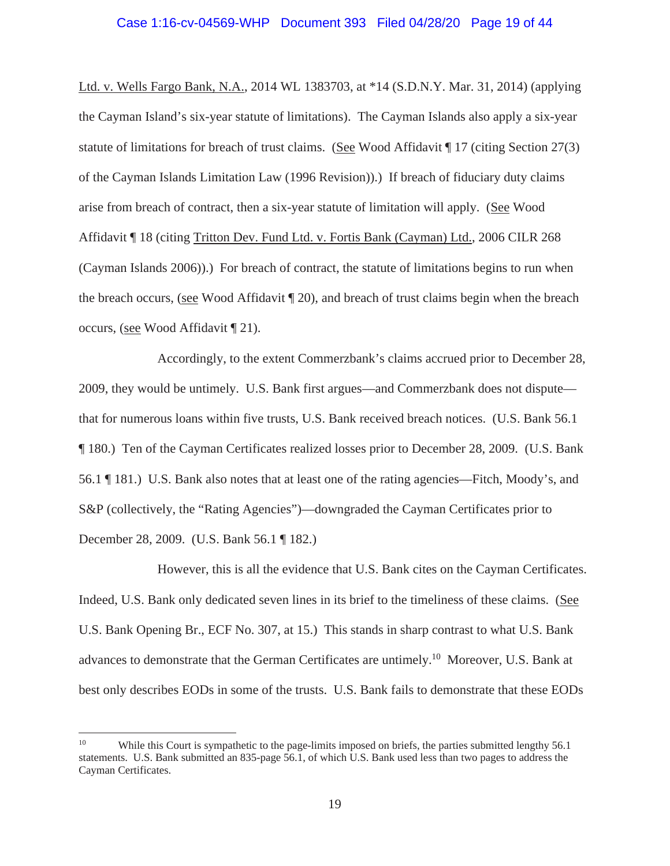# Case 1:16-cv-04569-WHP Document 393 Filed 04/28/20 Page 19 of 44

Ltd. v. Wells Fargo Bank, N.A., 2014 WL 1383703, at \*14 (S.D.N.Y. Mar. 31, 2014) (applying the Cayman Island's six-year statute of limitations). The Cayman Islands also apply a six-year statute of limitations for breach of trust claims. (See Wood Affidavit ¶ 17 (citing Section 27(3) of the Cayman Islands Limitation Law (1996 Revision)).) If breach of fiduciary duty claims arise from breach of contract, then a six-year statute of limitation will apply. (See Wood Affidavit ¶ 18 (citing Tritton Dev. Fund Ltd. v. Fortis Bank (Cayman) Ltd., 2006 CILR 268 (Cayman Islands 2006)).) For breach of contract, the statute of limitations begins to run when the breach occurs, (see Wood Affidavit ¶ 20), and breach of trust claims begin when the breach occurs, (see Wood Affidavit ¶ 21).

Accordingly, to the extent Commerzbank's claims accrued prior to December 28, 2009, they would be untimely. U.S. Bank first argues—and Commerzbank does not dispute that for numerous loans within five trusts, U.S. Bank received breach notices. (U.S. Bank 56.1 ¶ 180.) Ten of the Cayman Certificates realized losses prior to December 28, 2009. (U.S. Bank 56.1 ¶ 181.) U.S. Bank also notes that at least one of the rating agencies—Fitch, Moody's, and S&P (collectively, the "Rating Agencies")—downgraded the Cayman Certificates prior to December 28, 2009. (U.S. Bank 56.1 ¶ 182.)

However, this is all the evidence that U.S. Bank cites on the Cayman Certificates. Indeed, U.S. Bank only dedicated seven lines in its brief to the timeliness of these claims. (See U.S. Bank Opening Br., ECF No. 307, at 15.) This stands in sharp contrast to what U.S. Bank advances to demonstrate that the German Certificates are untimely.10 Moreover, U.S. Bank at best only describes EODs in some of the trusts. U.S. Bank fails to demonstrate that these EODs

<sup>&</sup>lt;sup>10</sup> While this Court is sympathetic to the page-limits imposed on briefs, the parties submitted lengthy 56.1 statements. U.S. Bank submitted an 835-page 56.1, of which U.S. Bank used less than two pages to address the Cayman Certificates.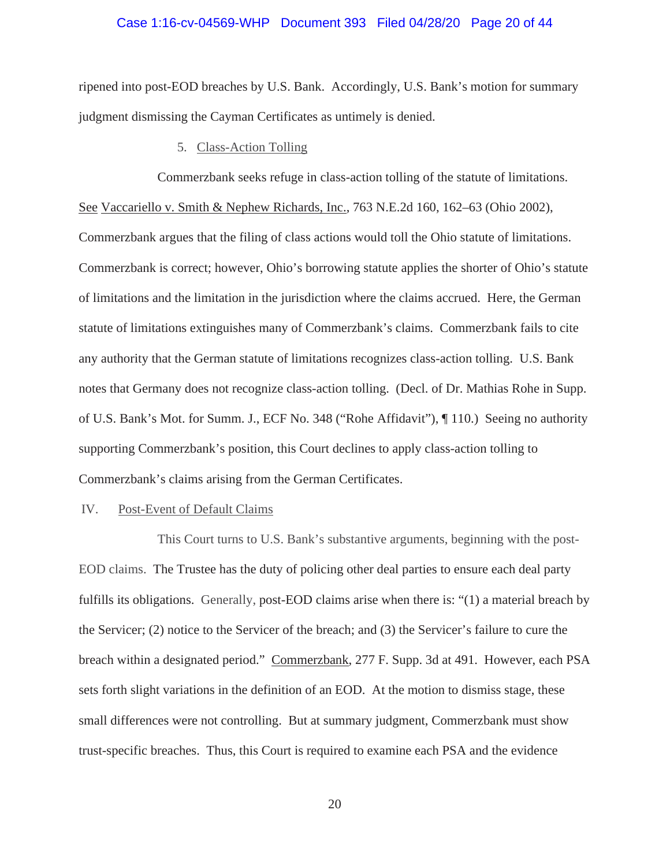#### Case 1:16-cv-04569-WHP Document 393 Filed 04/28/20 Page 20 of 44

ripened into post-EOD breaches by U.S. Bank. Accordingly, U.S. Bank's motion for summary judgment dismissing the Cayman Certificates as untimely is denied.

5. Class-Action Tolling

Commerzbank seeks refuge in class-action tolling of the statute of limitations. See Vaccariello v. Smith & Nephew Richards, Inc., 763 N.E.2d 160, 162–63 (Ohio 2002), Commerzbank argues that the filing of class actions would toll the Ohio statute of limitations. Commerzbank is correct; however, Ohio's borrowing statute applies the shorter of Ohio's statute of limitations and the limitation in the jurisdiction where the claims accrued. Here, the German statute of limitations extinguishes many of Commerzbank's claims. Commerzbank fails to cite any authority that the German statute of limitations recognizes class-action tolling. U.S. Bank notes that Germany does not recognize class-action tolling. (Decl. of Dr. Mathias Rohe in Supp. of U.S. Bank's Mot. for Summ. J., ECF No. 348 ("Rohe Affidavit"), ¶ 110.) Seeing no authority supporting Commerzbank's position, this Court declines to apply class-action tolling to Commerzbank's claims arising from the German Certificates.

#### IV. Post-Event of Default Claims

This Court turns to U.S. Bank's substantive arguments, beginning with the post-EOD claims. The Trustee has the duty of policing other deal parties to ensure each deal party fulfills its obligations. Generally, post-EOD claims arise when there is: "(1) a material breach by the Servicer; (2) notice to the Servicer of the breach; and (3) the Servicer's failure to cure the breach within a designated period." Commerzbank, 277 F. Supp. 3d at 491. However, each PSA sets forth slight variations in the definition of an EOD. At the motion to dismiss stage, these small differences were not controlling. But at summary judgment, Commerzbank must show trust-specific breaches. Thus, this Court is required to examine each PSA and the evidence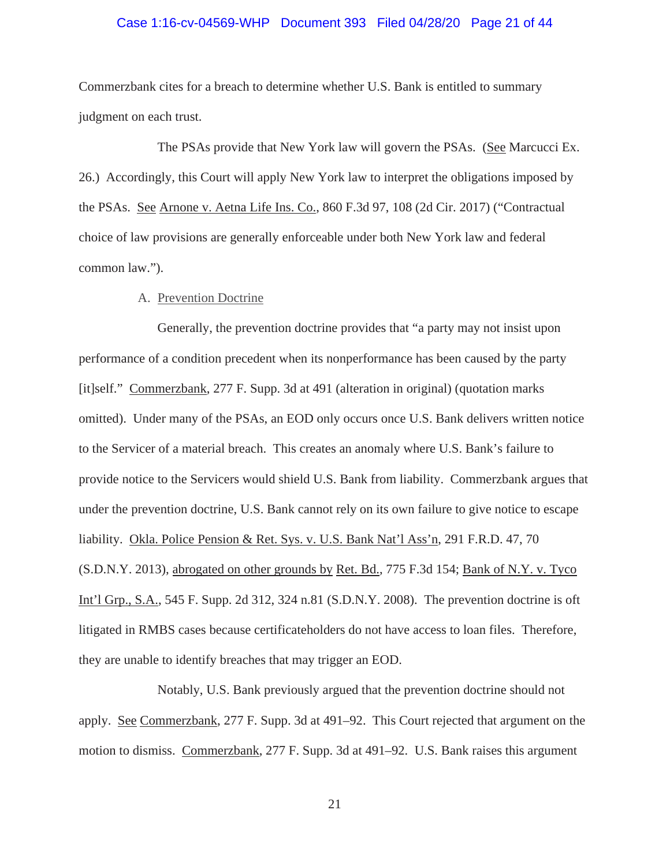#### Case 1:16-cv-04569-WHP Document 393 Filed 04/28/20 Page 21 of 44

Commerzbank cites for a breach to determine whether U.S. Bank is entitled to summary judgment on each trust.

The PSAs provide that New York law will govern the PSAs. (See Marcucci Ex. 26.) Accordingly, this Court will apply New York law to interpret the obligations imposed by the PSAs. See Arnone v. Aetna Life Ins. Co., 860 F.3d 97, 108 (2d Cir. 2017) ("Contractual choice of law provisions are generally enforceable under both New York law and federal common law.").

#### A. Prevention Doctrine

Generally, the prevention doctrine provides that "a party may not insist upon performance of a condition precedent when its nonperformance has been caused by the party [it]self." Commerzbank, 277 F. Supp. 3d at 491 (alteration in original) (quotation marks omitted). Under many of the PSAs, an EOD only occurs once U.S. Bank delivers written notice to the Servicer of a material breach. This creates an anomaly where U.S. Bank's failure to provide notice to the Servicers would shield U.S. Bank from liability. Commerzbank argues that under the prevention doctrine, U.S. Bank cannot rely on its own failure to give notice to escape liability. Okla. Police Pension & Ret. Sys. v. U.S. Bank Nat'l Ass'n, 291 F.R.D. 47, 70 (S.D.N.Y. 2013), abrogated on other grounds by Ret. Bd., 775 F.3d 154; Bank of N.Y. v. Tyco Int'l Grp., S.A., 545 F. Supp. 2d 312, 324 n.81 (S.D.N.Y. 2008). The prevention doctrine is oft litigated in RMBS cases because certificateholders do not have access to loan files. Therefore, they are unable to identify breaches that may trigger an EOD.

Notably, U.S. Bank previously argued that the prevention doctrine should not apply. See Commerzbank, 277 F. Supp. 3d at 491–92. This Court rejected that argument on the motion to dismiss. Commerzbank, 277 F. Supp. 3d at 491–92. U.S. Bank raises this argument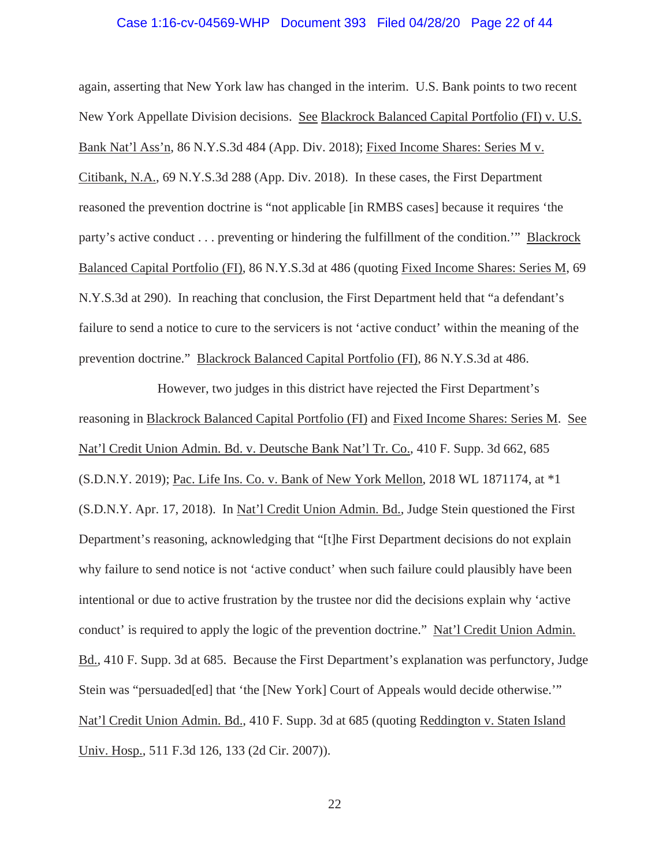#### Case 1:16-cv-04569-WHP Document 393 Filed 04/28/20 Page 22 of 44

again, asserting that New York law has changed in the interim. U.S. Bank points to two recent New York Appellate Division decisions. See Blackrock Balanced Capital Portfolio (FI) v. U.S. Bank Nat'l Ass'n, 86 N.Y.S.3d 484 (App. Div. 2018); Fixed Income Shares: Series M v. Citibank, N.A., 69 N.Y.S.3d 288 (App. Div. 2018). In these cases, the First Department reasoned the prevention doctrine is "not applicable [in RMBS cases] because it requires 'the party's active conduct . . . preventing or hindering the fulfillment of the condition.'" Blackrock Balanced Capital Portfolio (FI), 86 N.Y.S.3d at 486 (quoting Fixed Income Shares: Series M, 69 N.Y.S.3d at 290). In reaching that conclusion, the First Department held that "a defendant's failure to send a notice to cure to the servicers is not 'active conduct' within the meaning of the prevention doctrine." Blackrock Balanced Capital Portfolio (FI), 86 N.Y.S.3d at 486.

However, two judges in this district have rejected the First Department's reasoning in Blackrock Balanced Capital Portfolio (FI) and Fixed Income Shares: Series M. See Nat'l Credit Union Admin. Bd. v. Deutsche Bank Nat'l Tr. Co., 410 F. Supp. 3d 662, 685 (S.D.N.Y. 2019); Pac. Life Ins. Co. v. Bank of New York Mellon, 2018 WL 1871174, at \*1 (S.D.N.Y. Apr. 17, 2018). In Nat'l Credit Union Admin. Bd., Judge Stein questioned the First Department's reasoning, acknowledging that "[t]he First Department decisions do not explain why failure to send notice is not 'active conduct' when such failure could plausibly have been intentional or due to active frustration by the trustee nor did the decisions explain why 'active conduct' is required to apply the logic of the prevention doctrine." Nat'l Credit Union Admin. Bd., 410 F. Supp. 3d at 685. Because the First Department's explanation was perfunctory, Judge Stein was "persuaded[ed] that 'the [New York] Court of Appeals would decide otherwise.'" Nat'l Credit Union Admin. Bd., 410 F. Supp. 3d at 685 (quoting Reddington v. Staten Island Univ. Hosp., 511 F.3d 126, 133 (2d Cir. 2007)).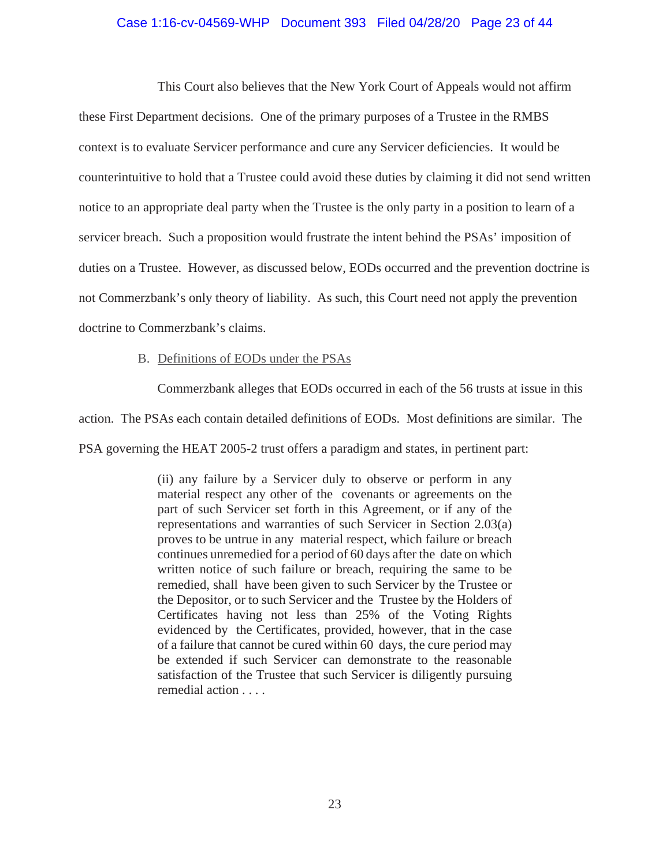## Case 1:16-cv-04569-WHP Document 393 Filed 04/28/20 Page 23 of 44

This Court also believes that the New York Court of Appeals would not affirm these First Department decisions. One of the primary purposes of a Trustee in the RMBS context is to evaluate Servicer performance and cure any Servicer deficiencies. It would be counterintuitive to hold that a Trustee could avoid these duties by claiming it did not send written notice to an appropriate deal party when the Trustee is the only party in a position to learn of a servicer breach. Such a proposition would frustrate the intent behind the PSAs' imposition of duties on a Trustee. However, as discussed below, EODs occurred and the prevention doctrine is not Commerzbank's only theory of liability. As such, this Court need not apply the prevention doctrine to Commerzbank's claims.

## B. Definitions of EODs under the PSAs

Commerzbank alleges that EODs occurred in each of the 56 trusts at issue in this

action. The PSAs each contain detailed definitions of EODs. Most definitions are similar. The

PSA governing the HEAT 2005-2 trust offers a paradigm and states, in pertinent part:

(ii) any failure by a Servicer duly to observe or perform in any material respect any other of the covenants or agreements on the part of such Servicer set forth in this Agreement, or if any of the representations and warranties of such Servicer in Section 2.03(a) proves to be untrue in any material respect, which failure or breach continues unremedied for a period of 60 days after the date on which written notice of such failure or breach, requiring the same to be remedied, shall have been given to such Servicer by the Trustee or the Depositor, or to such Servicer and the Trustee by the Holders of Certificates having not less than 25% of the Voting Rights evidenced by the Certificates, provided, however, that in the case of a failure that cannot be cured within 60 days, the cure period may be extended if such Servicer can demonstrate to the reasonable satisfaction of the Trustee that such Servicer is diligently pursuing remedial action . . . .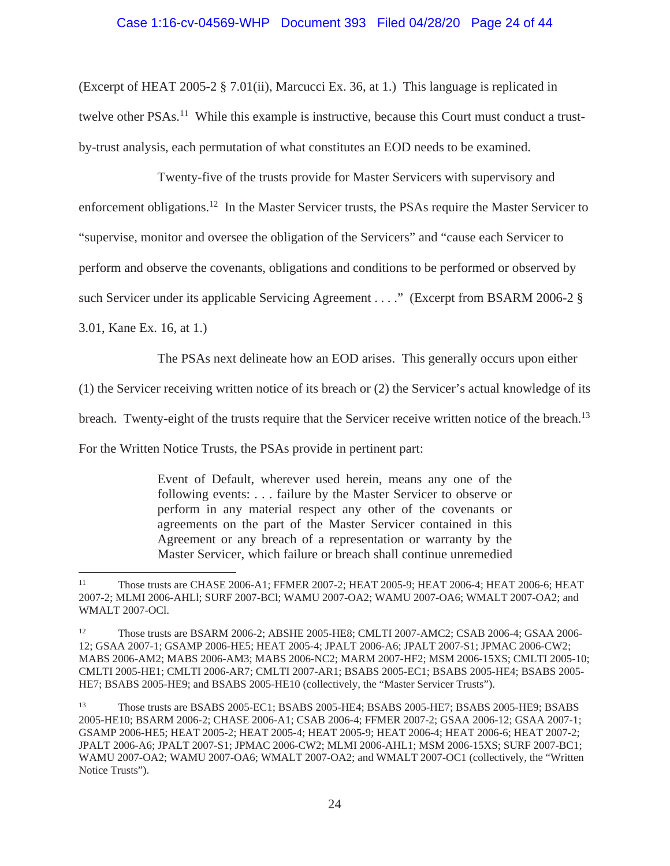## Case 1:16-cv-04569-WHP Document 393 Filed 04/28/20 Page 24 of 44

(Excerpt of HEAT 2005-2 § 7.01(ii), Marcucci Ex. 36, at 1.) This language is replicated in twelve other PSAs.<sup>11</sup> While this example is instructive, because this Court must conduct a trustby-trust analysis, each permutation of what constitutes an EOD needs to be examined.

Twenty-five of the trusts provide for Master Servicers with supervisory and

enforcement obligations.12 In the Master Servicer trusts, the PSAs require the Master Servicer to

"supervise, monitor and oversee the obligation of the Servicers" and "cause each Servicer to

perform and observe the covenants, obligations and conditions to be performed or observed by

such Servicer under its applicable Servicing Agreement . . . ." (Excerpt from BSARM 2006-2 §

3.01, Kane Ex. 16, at 1.)

The PSAs next delineate how an EOD arises. This generally occurs upon either

(1) the Servicer receiving written notice of its breach or (2) the Servicer's actual knowledge of its

breach. Twenty-eight of the trusts require that the Servicer receive written notice of the breach.<sup>13</sup>

For the Written Notice Trusts, the PSAs provide in pertinent part:

Event of Default, wherever used herein, means any one of the following events: . . . failure by the Master Servicer to observe or perform in any material respect any other of the covenants or agreements on the part of the Master Servicer contained in this Agreement or any breach of a representation or warranty by the Master Servicer, which failure or breach shall continue unremedied

<sup>&</sup>lt;sup>11</sup> Those trusts are CHASE 2006-A1; FFMER 2007-2; HEAT 2005-9; HEAT 2006-4; HEAT 2006-6; HEAT 2007-2; MLMI 2006-AHLl; SURF 2007-BCl; WAMU 2007-OA2; WAMU 2007-OA6; WMALT 2007-OA2; and WMALT 2007-OCl.

<sup>&</sup>lt;sup>12</sup> Those trusts are BSARM 2006-2; ABSHE 2005-HE8; CMLTI 2007-AMC2; CSAB 2006-4; GSAA 2006-12; GSAA 2007-1; GSAMP 2006-HE5; HEAT 2005-4; JPALT 2006-A6; JPALT 2007-S1; JPMAC 2006-CW2; MABS 2006-AM2; MABS 2006-AM3; MABS 2006-NC2; MARM 2007-HF2; MSM 2006-15XS; CMLTI 2005-10; CMLTI 2005-HE1; CMLTI 2006-AR7; CMLTI 2007-AR1; BSABS 2005-EC1; BSABS 2005-HE4; BSABS 2005- HE7; BSABS 2005-HE9; and BSABS 2005-HE10 (collectively, the "Master Servicer Trusts").

<sup>13</sup> Those trusts are BSABS 2005-EC1; BSABS 2005-HE4; BSABS 2005-HE7; BSABS 2005-HE9; BSABS 2005-HE10; BSARM 2006-2; CHASE 2006-A1; CSAB 2006-4; FFMER 2007-2; GSAA 2006-12; GSAA 2007-1; GSAMP 2006-HE5; HEAT 2005-2; HEAT 2005-4; HEAT 2005-9; HEAT 2006-4; HEAT 2006-6; HEAT 2007-2; JPALT 2006-A6; JPALT 2007-S1; JPMAC 2006-CW2; MLMI 2006-AHL1; MSM 2006-15XS; SURF 2007-BC1; WAMU 2007-OA2; WAMU 2007-OA6; WMALT 2007-OA2; and WMALT 2007-OC1 (collectively, the "Written Notice Trusts").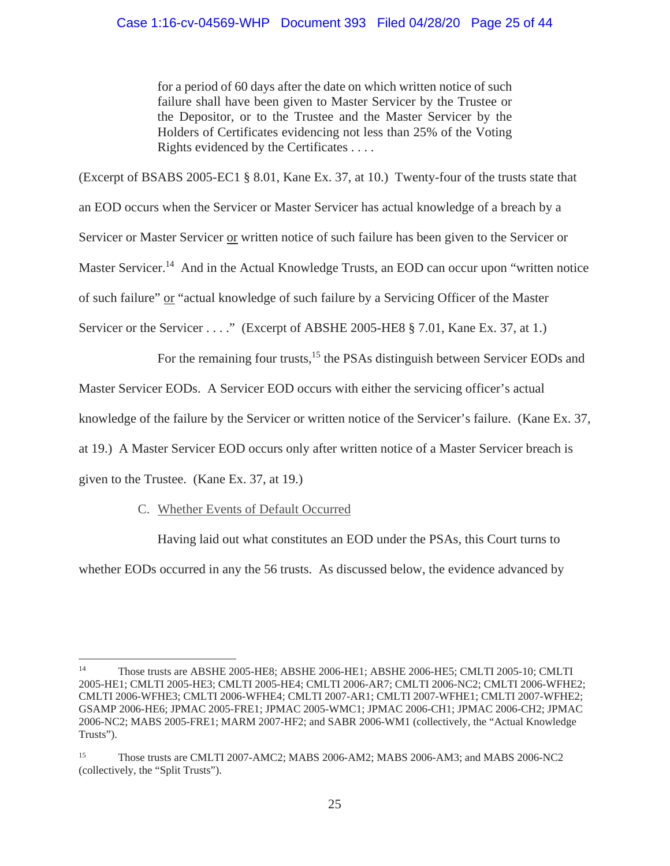for a period of 60 days after the date on which written notice of such failure shall have been given to Master Servicer by the Trustee or the Depositor, or to the Trustee and the Master Servicer by the Holders of Certificates evidencing not less than 25% of the Voting Rights evidenced by the Certificates . . . .

(Excerpt of BSABS 2005-EC1 § 8.01, Kane Ex. 37, at 10.) Twenty-four of the trusts state that an EOD occurs when the Servicer or Master Servicer has actual knowledge of a breach by a Servicer or Master Servicer or written notice of such failure has been given to the Servicer or Master Servicer.<sup>14</sup> And in the Actual Knowledge Trusts, an EOD can occur upon "written notice" of such failure" or "actual knowledge of such failure by a Servicing Officer of the Master Servicer or the Servicer . . . ." (Excerpt of ABSHE 2005-HE8 § 7.01, Kane Ex. 37, at 1.)

For the remaining four trusts,<sup>15</sup> the PSAs distinguish between Servicer EODs and

Master Servicer EODs. A Servicer EOD occurs with either the servicing officer's actual

knowledge of the failure by the Servicer or written notice of the Servicer's failure. (Kane Ex. 37,

at 19.) A Master Servicer EOD occurs only after written notice of a Master Servicer breach is

given to the Trustee. (Kane Ex. 37, at 19.)

# C. Whether Events of Default Occurred

Having laid out what constitutes an EOD under the PSAs, this Court turns to

whether EODs occurred in any the 56 trusts. As discussed below, the evidence advanced by

<sup>14</sup> Those trusts are ABSHE 2005-HE8; ABSHE 2006-HE1; ABSHE 2006-HE5; CMLTI 2005-10; CMLTI 2005-HE1; CMLTI 2005-HE3; CMLTI 2005-HE4; CMLTI 2006-AR7; CMLTI 2006-NC2; CMLTI 2006-WFHE2; CMLTI 2006-WFHE3; CMLTI 2006-WFHE4; CMLTI 2007-AR1; CMLTI 2007-WFHE1; CMLTI 2007-WFHE2; GSAMP 2006-HE6; JPMAC 2005-FRE1; JPMAC 2005-WMC1; JPMAC 2006-CH1; JPMAC 2006-CH2; JPMAC 2006-NC2; MABS 2005-FRE1; MARM 2007-HF2; and SABR 2006-WM1 (collectively, the "Actual Knowledge Trusts").

<sup>&</sup>lt;sup>15</sup> Those trusts are CMLTI 2007-AMC2; MABS 2006-AM2; MABS 2006-AM3; and MABS 2006-NC2 (collectively, the "Split Trusts").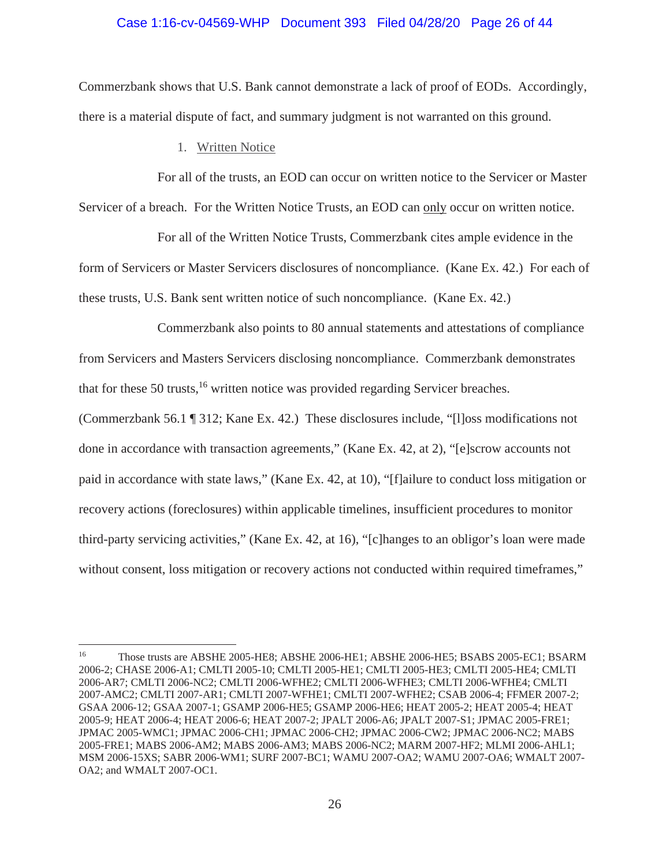## Case 1:16-cv-04569-WHP Document 393 Filed 04/28/20 Page 26 of 44

Commerzbank shows that U.S. Bank cannot demonstrate a lack of proof of EODs. Accordingly, there is a material dispute of fact, and summary judgment is not warranted on this ground.

1. Written Notice

For all of the trusts, an EOD can occur on written notice to the Servicer or Master Servicer of a breach. For the Written Notice Trusts, an EOD can only occur on written notice.

For all of the Written Notice Trusts, Commerzbank cites ample evidence in the form of Servicers or Master Servicers disclosures of noncompliance. (Kane Ex. 42.) For each of these trusts, U.S. Bank sent written notice of such noncompliance. (Kane Ex. 42.)

Commerzbank also points to 80 annual statements and attestations of compliance from Servicers and Masters Servicers disclosing noncompliance. Commerzbank demonstrates that for these 50 trusts,<sup>16</sup> written notice was provided regarding Servicer breaches.

(Commerzbank 56.1 ¶ 312; Kane Ex. 42.) These disclosures include, "[l]oss modifications not done in accordance with transaction agreements," (Kane Ex. 42, at 2), "[e]scrow accounts not paid in accordance with state laws," (Kane Ex. 42, at 10), "[f]ailure to conduct loss mitigation or recovery actions (foreclosures) within applicable timelines, insufficient procedures to monitor third-party servicing activities," (Kane Ex. 42, at 16), "[c]hanges to an obligor's loan were made without consent, loss mitigation or recovery actions not conducted within required timeframes,"

<sup>&</sup>lt;sup>16</sup> Those trusts are ABSHE 2005-HE8; ABSHE 2006-HE1; ABSHE 2006-HE5; BSABS 2005-EC1; BSARM 2006-2; CHASE 2006-A1; CMLTI 2005-10; CMLTI 2005-HE1; CMLTI 2005-HE3; CMLTI 2005-HE4; CMLTI 2006-AR7; CMLTI 2006-NC2; CMLTI 2006-WFHE2; CMLTI 2006-WFHE3; CMLTI 2006-WFHE4; CMLTI 2007-AMC2; CMLTI 2007-AR1; CMLTI 2007-WFHE1; CMLTI 2007-WFHE2; CSAB 2006-4; FFMER 2007-2; GSAA 2006-12; GSAA 2007-1; GSAMP 2006-HE5; GSAMP 2006-HE6; HEAT 2005-2; HEAT 2005-4; HEAT 2005-9; HEAT 2006-4; HEAT 2006-6; HEAT 2007-2; JPALT 2006-A6; JPALT 2007-S1; JPMAC 2005-FRE1; JPMAC 2005-WMC1; JPMAC 2006-CH1; JPMAC 2006-CH2; JPMAC 2006-CW2; JPMAC 2006-NC2; MABS 2005-FRE1; MABS 2006-AM2; MABS 2006-AM3; MABS 2006-NC2; MARM 2007-HF2; MLMI 2006-AHL1; MSM 2006-15XS; SABR 2006-WM1; SURF 2007-BC1; WAMU 2007-OA2; WAMU 2007-OA6; WMALT 2007- OA2; and WMALT 2007-OC1.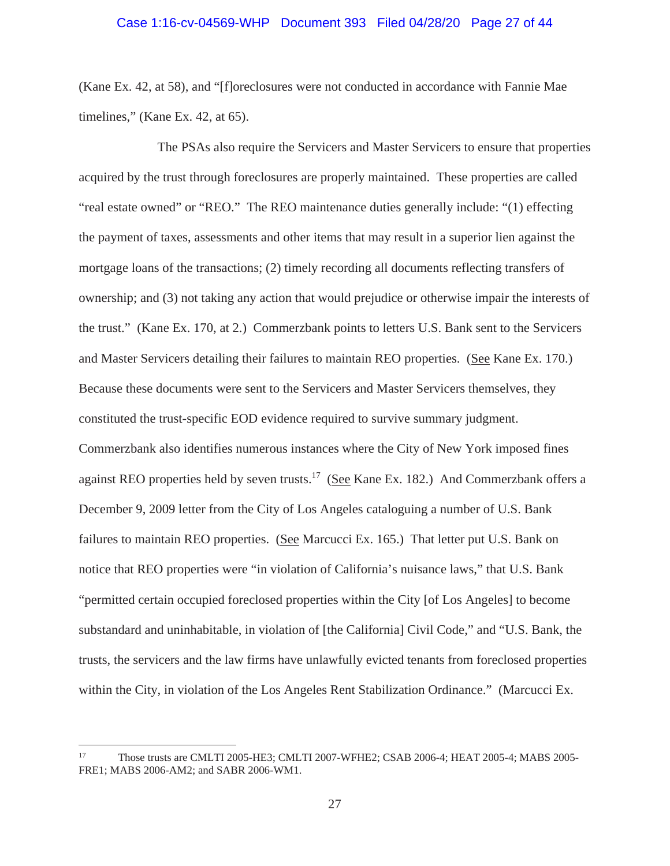#### Case 1:16-cv-04569-WHP Document 393 Filed 04/28/20 Page 27 of 44

(Kane Ex. 42, at 58), and "[f]oreclosures were not conducted in accordance with Fannie Mae timelines," (Kane Ex. 42, at 65).

The PSAs also require the Servicers and Master Servicers to ensure that properties acquired by the trust through foreclosures are properly maintained. These properties are called "real estate owned" or "REO." The REO maintenance duties generally include: "(1) effecting the payment of taxes, assessments and other items that may result in a superior lien against the mortgage loans of the transactions; (2) timely recording all documents reflecting transfers of ownership; and (3) not taking any action that would prejudice or otherwise impair the interests of the trust." (Kane Ex. 170, at 2.) Commerzbank points to letters U.S. Bank sent to the Servicers and Master Servicers detailing their failures to maintain REO properties. (See Kane Ex. 170.) Because these documents were sent to the Servicers and Master Servicers themselves, they constituted the trust-specific EOD evidence required to survive summary judgment. Commerzbank also identifies numerous instances where the City of New York imposed fines against REO properties held by seven trusts.<sup>17</sup> (See Kane Ex. 182.) And Commerzbank offers a December 9, 2009 letter from the City of Los Angeles cataloguing a number of U.S. Bank failures to maintain REO properties. (See Marcucci Ex. 165.) That letter put U.S. Bank on notice that REO properties were "in violation of California's nuisance laws," that U.S. Bank "permitted certain occupied foreclosed properties within the City [of Los Angeles] to become substandard and uninhabitable, in violation of [the California] Civil Code," and "U.S. Bank, the trusts, the servicers and the law firms have unlawfully evicted tenants from foreclosed properties within the City, in violation of the Los Angeles Rent Stabilization Ordinance." (Marcucci Ex.

<sup>17</sup> Those trusts are CMLTI 2005-HE3; CMLTI 2007-WFHE2; CSAB 2006-4; HEAT 2005-4; MABS 2005- FRE1; MABS 2006-AM2; and SABR 2006-WM1.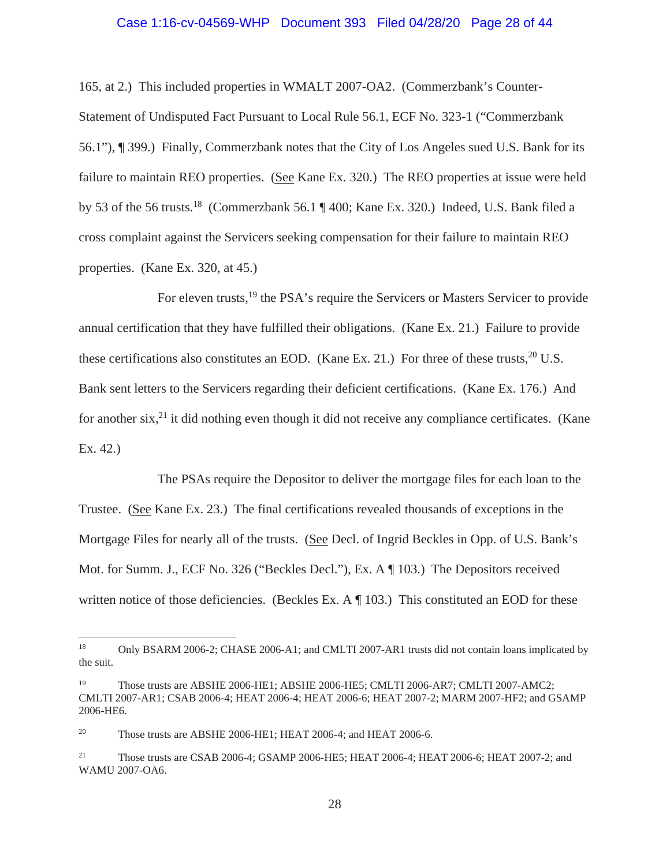#### Case 1:16-cv-04569-WHP Document 393 Filed 04/28/20 Page 28 of 44

165, at 2.) This included properties in WMALT 2007-OA2. (Commerzbank's Counter-Statement of Undisputed Fact Pursuant to Local Rule 56.1, ECF No. 323-1 ("Commerzbank 56.1"), ¶ 399.) Finally, Commerzbank notes that the City of Los Angeles sued U.S. Bank for its failure to maintain REO properties. (See Kane Ex. 320.) The REO properties at issue were held by 53 of the 56 trusts.<sup>18</sup> (Commerzbank 56.1 ¶ 400; Kane Ex. 320.) Indeed, U.S. Bank filed a cross complaint against the Servicers seeking compensation for their failure to maintain REO properties. (Kane Ex. 320, at 45.)

For eleven trusts,<sup>19</sup> the PSA's require the Servicers or Masters Servicer to provide annual certification that they have fulfilled their obligations. (Kane Ex. 21.) Failure to provide these certifications also constitutes an EOD. (Kane Ex. 21.) For three of these trusts,  $^{20}$  U.S. Bank sent letters to the Servicers regarding their deficient certifications. (Kane Ex. 176.) And for another six, $^{21}$  it did nothing even though it did not receive any compliance certificates. (Kane Ex. 42.)

The PSAs require the Depositor to deliver the mortgage files for each loan to the Trustee. (See Kane Ex. 23.) The final certifications revealed thousands of exceptions in the Mortgage Files for nearly all of the trusts. (See Decl. of Ingrid Beckles in Opp. of U.S. Bank's Mot. for Summ. J., ECF No. 326 ("Beckles Decl."), Ex. A ¶ 103.) The Depositors received written notice of those deficiencies. (Beckles Ex. A ¶ 103.) This constituted an EOD for these

<sup>&</sup>lt;sup>18</sup> Only BSARM 2006-2; CHASE 2006-A1; and CMLTI 2007-AR1 trusts did not contain loans implicated by the suit.

<sup>19</sup> Those trusts are ABSHE 2006-HE1; ABSHE 2006-HE5; CMLTI 2006-AR7; CMLTI 2007-AMC2; CMLTI 2007-AR1; CSAB 2006-4; HEAT 2006-4; HEAT 2006-6; HEAT 2007-2; MARM 2007-HF2; and GSAMP 2006-HE6.

<sup>&</sup>lt;sup>20</sup> Those trusts are ABSHE 2006-HE1; HEAT 2006-4; and HEAT 2006-6.

<sup>&</sup>lt;sup>21</sup> Those trusts are CSAB 2006-4; GSAMP 2006-HE5; HEAT 2006-4; HEAT 2006-6; HEAT 2007-2; and WAMU 2007-OA6.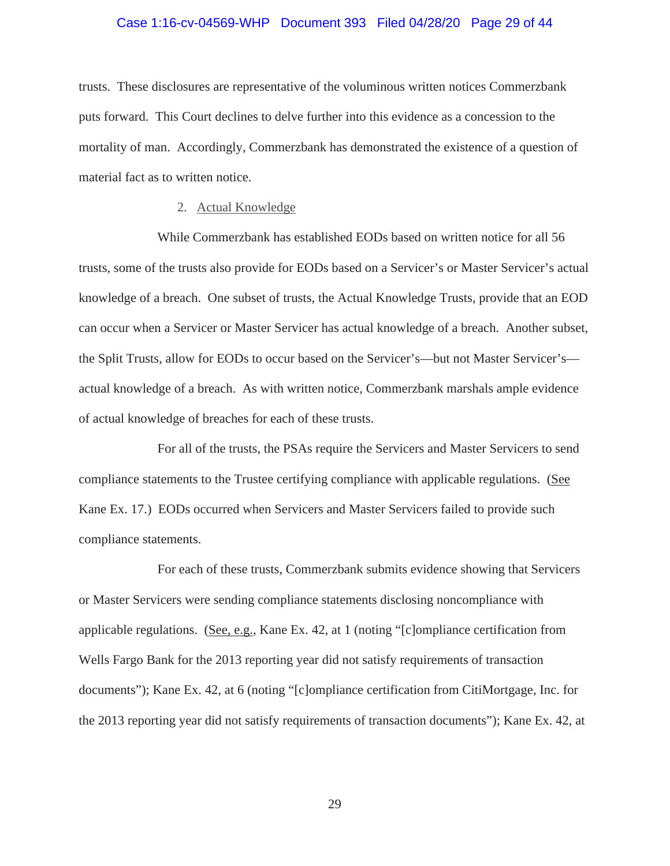#### Case 1:16-cv-04569-WHP Document 393 Filed 04/28/20 Page 29 of 44

trusts. These disclosures are representative of the voluminous written notices Commerzbank puts forward. This Court declines to delve further into this evidence as a concession to the mortality of man. Accordingly, Commerzbank has demonstrated the existence of a question of material fact as to written notice.

## 2. Actual Knowledge

While Commerzbank has established EODs based on written notice for all 56 trusts, some of the trusts also provide for EODs based on a Servicer's or Master Servicer's actual knowledge of a breach. One subset of trusts, the Actual Knowledge Trusts, provide that an EOD can occur when a Servicer or Master Servicer has actual knowledge of a breach. Another subset, the Split Trusts, allow for EODs to occur based on the Servicer's—but not Master Servicer's actual knowledge of a breach. As with written notice, Commerzbank marshals ample evidence of actual knowledge of breaches for each of these trusts.

For all of the trusts, the PSAs require the Servicers and Master Servicers to send compliance statements to the Trustee certifying compliance with applicable regulations. (See Kane Ex. 17.) EODs occurred when Servicers and Master Servicers failed to provide such compliance statements.

For each of these trusts, Commerzbank submits evidence showing that Servicers or Master Servicers were sending compliance statements disclosing noncompliance with applicable regulations. (See, e.g., Kane Ex. 42, at 1 (noting "[c]ompliance certification from Wells Fargo Bank for the 2013 reporting year did not satisfy requirements of transaction documents"); Kane Ex. 42, at 6 (noting "[c]ompliance certification from CitiMortgage, Inc. for the 2013 reporting year did not satisfy requirements of transaction documents"); Kane Ex. 42, at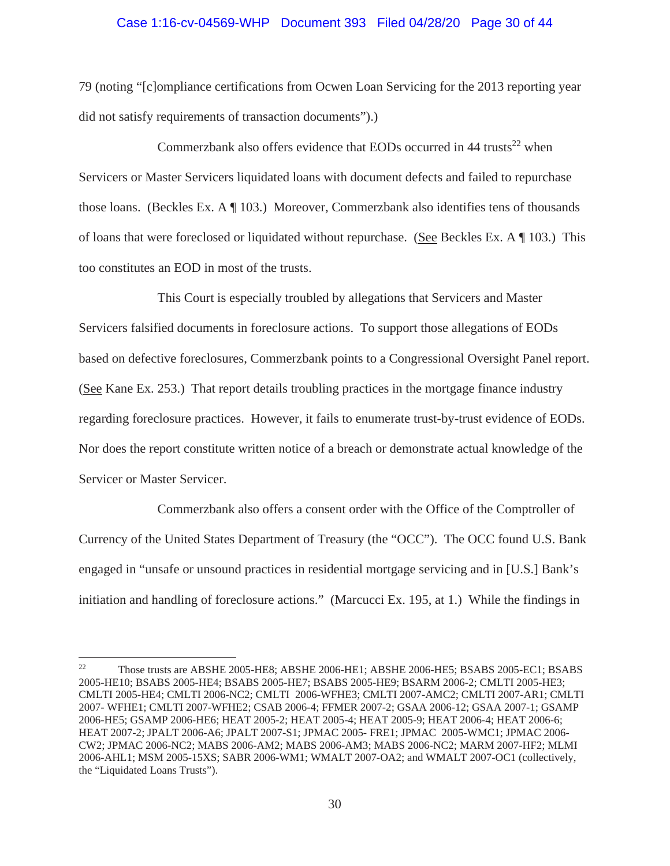## Case 1:16-cv-04569-WHP Document 393 Filed 04/28/20 Page 30 of 44

79 (noting "[c]ompliance certifications from Ocwen Loan Servicing for the 2013 reporting year did not satisfy requirements of transaction documents").)

Commerzbank also offers evidence that EODs occurred in  $44$  trusts<sup>22</sup> when Servicers or Master Servicers liquidated loans with document defects and failed to repurchase those loans. (Beckles Ex. A ¶ 103.) Moreover, Commerzbank also identifies tens of thousands of loans that were foreclosed or liquidated without repurchase. (See Beckles Ex. A ¶ 103.) This too constitutes an EOD in most of the trusts.

This Court is especially troubled by allegations that Servicers and Master Servicers falsified documents in foreclosure actions. To support those allegations of EODs based on defective foreclosures, Commerzbank points to a Congressional Oversight Panel report. (See Kane Ex. 253.) That report details troubling practices in the mortgage finance industry regarding foreclosure practices. However, it fails to enumerate trust-by-trust evidence of EODs. Nor does the report constitute written notice of a breach or demonstrate actual knowledge of the Servicer or Master Servicer.

Commerzbank also offers a consent order with the Office of the Comptroller of Currency of the United States Department of Treasury (the "OCC"). The OCC found U.S. Bank engaged in "unsafe or unsound practices in residential mortgage servicing and in [U.S.] Bank's initiation and handling of foreclosure actions." (Marcucci Ex. 195, at 1.) While the findings in

<sup>22</sup> Those trusts are ABSHE 2005-HE8; ABSHE 2006-HE1; ABSHE 2006-HE5; BSABS 2005-EC1; BSABS 2005-HE10; BSABS 2005-HE4; BSABS 2005-HE7; BSABS 2005-HE9; BSARM 2006-2; CMLTI 2005-HE3; CMLTI 2005-HE4; CMLTI 2006-NC2; CMLTI 2006-WFHE3; CMLTI 2007-AMC2; CMLTI 2007-AR1; CMLTI 2007- WFHE1; CMLTI 2007-WFHE2; CSAB 2006-4; FFMER 2007-2; GSAA 2006-12; GSAA 2007-1; GSAMP 2006-HE5; GSAMP 2006-HE6; HEAT 2005-2; HEAT 2005-4; HEAT 2005-9; HEAT 2006-4; HEAT 2006-6; HEAT 2007-2; JPALT 2006-A6; JPALT 2007-S1; JPMAC 2005- FRE1; JPMAC 2005-WMC1; JPMAC 2006- CW2; JPMAC 2006-NC2; MABS 2006-AM2; MABS 2006-AM3; MABS 2006-NC2; MARM 2007-HF2; MLMI 2006-AHL1; MSM 2005-15XS; SABR 2006-WM1; WMALT 2007-OA2; and WMALT 2007-OC1 (collectively, the "Liquidated Loans Trusts").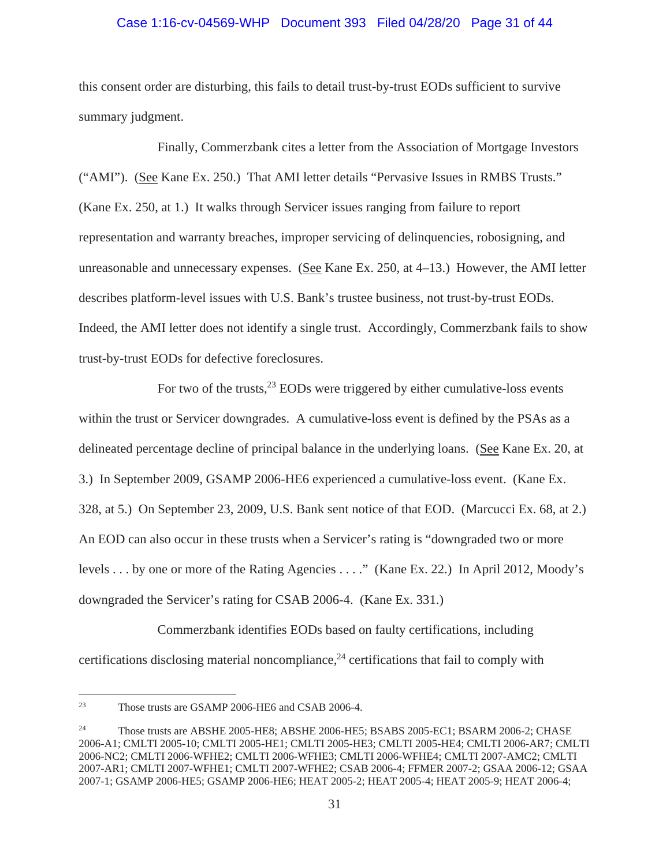# Case 1:16-cv-04569-WHP Document 393 Filed 04/28/20 Page 31 of 44

this consent order are disturbing, this fails to detail trust-by-trust EODs sufficient to survive summary judgment.

Finally, Commerzbank cites a letter from the Association of Mortgage Investors ("AMI"). (See Kane Ex. 250.) That AMI letter details "Pervasive Issues in RMBS Trusts." (Kane Ex. 250, at 1.) It walks through Servicer issues ranging from failure to report representation and warranty breaches, improper servicing of delinquencies, robosigning, and unreasonable and unnecessary expenses. (See Kane Ex. 250, at 4–13.) However, the AMI letter describes platform-level issues with U.S. Bank's trustee business, not trust-by-trust EODs. Indeed, the AMI letter does not identify a single trust. Accordingly, Commerzbank fails to show trust-by-trust EODs for defective foreclosures.

For two of the trusts,  $23$  EODs were triggered by either cumulative-loss events within the trust or Servicer downgrades. A cumulative-loss event is defined by the PSAs as a delineated percentage decline of principal balance in the underlying loans. (See Kane Ex. 20, at 3.) In September 2009, GSAMP 2006-HE6 experienced a cumulative-loss event. (Kane Ex. 328, at 5.) On September 23, 2009, U.S. Bank sent notice of that EOD. (Marcucci Ex. 68, at 2.) An EOD can also occur in these trusts when a Servicer's rating is "downgraded two or more levels . . . by one or more of the Rating Agencies . . . ." (Kane Ex. 22.) In April 2012, Moody's downgraded the Servicer's rating for CSAB 2006-4. (Kane Ex. 331.)

Commerzbank identifies EODs based on faulty certifications, including certifications disclosing material noncompliance,<sup>24</sup> certifications that fail to comply with

<sup>23</sup> Those trusts are GSAMP 2006-HE6 and CSAB 2006-4.

<sup>&</sup>lt;sup>24</sup> Those trusts are ABSHE 2005-HE8; ABSHE 2006-HE5; BSABS 2005-EC1; BSARM 2006-2; CHASE 2006-A1; CMLTI 2005-10; CMLTI 2005-HE1; CMLTI 2005-HE3; CMLTI 2005-HE4; CMLTI 2006-AR7; CMLTI 2006-NC2; CMLTI 2006-WFHE2; CMLTI 2006-WFHE3; CMLTI 2006-WFHE4; CMLTI 2007-AMC2; CMLTI 2007-AR1; CMLTI 2007-WFHE1; CMLTI 2007-WFHE2; CSAB 2006-4; FFMER 2007-2; GSAA 2006-12; GSAA 2007-1; GSAMP 2006-HE5; GSAMP 2006-HE6; HEAT 2005-2; HEAT 2005-4; HEAT 2005-9; HEAT 2006-4;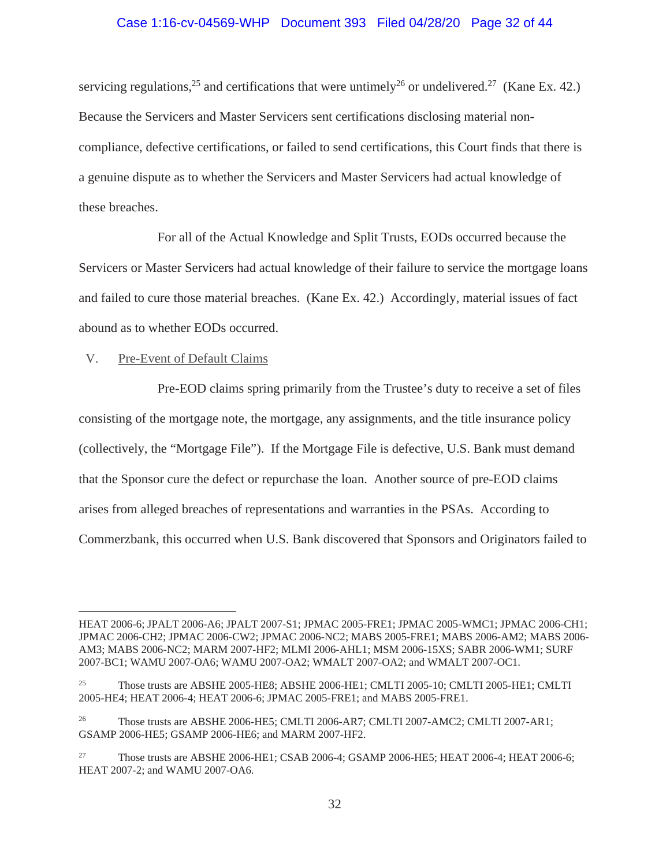## Case 1:16-cv-04569-WHP Document 393 Filed 04/28/20 Page 32 of 44

servicing regulations,<sup>25</sup> and certifications that were untimely<sup>26</sup> or undelivered.<sup>27</sup> (Kane Ex. 42.) Because the Servicers and Master Servicers sent certifications disclosing material noncompliance, defective certifications, or failed to send certifications, this Court finds that there is a genuine dispute as to whether the Servicers and Master Servicers had actual knowledge of these breaches.

For all of the Actual Knowledge and Split Trusts, EODs occurred because the Servicers or Master Servicers had actual knowledge of their failure to service the mortgage loans and failed to cure those material breaches. (Kane Ex. 42.) Accordingly, material issues of fact abound as to whether EODs occurred.

V. Pre-Event of Default Claims

Pre-EOD claims spring primarily from the Trustee's duty to receive a set of files consisting of the mortgage note, the mortgage, any assignments, and the title insurance policy (collectively, the "Mortgage File"). If the Mortgage File is defective, U.S. Bank must demand that the Sponsor cure the defect or repurchase the loan. Another source of pre-EOD claims arises from alleged breaches of representations and warranties in the PSAs. According to Commerzbank, this occurred when U.S. Bank discovered that Sponsors and Originators failed to

HEAT 2006-6; JPALT 2006-A6; JPALT 2007-S1; JPMAC 2005-FRE1; JPMAC 2005-WMC1; JPMAC 2006-CH1; JPMAC 2006-CH2; JPMAC 2006-CW2; JPMAC 2006-NC2; MABS 2005-FRE1; MABS 2006-AM2; MABS 2006- AM3; MABS 2006-NC2; MARM 2007-HF2; MLMI 2006-AHL1; MSM 2006-15XS; SABR 2006-WM1; SURF 2007-BC1; WAMU 2007-OA6; WAMU 2007-OA2; WMALT 2007-OA2; and WMALT 2007-OC1.

<sup>&</sup>lt;sup>25</sup> Those trusts are ABSHE 2005-HE8; ABSHE 2006-HE1; CMLTI 2005-10; CMLTI 2005-HE1; CMLTI 2005-HE4; HEAT 2006-4; HEAT 2006-6; JPMAC 2005-FRE1; and MABS 2005-FRE1.

<sup>&</sup>lt;sup>26</sup> Those trusts are ABSHE 2006-HE5; CMLTI 2006-AR7; CMLTI 2007-AMC2; CMLTI 2007-AR1; GSAMP 2006-HE5; GSAMP 2006-HE6; and MARM 2007-HF2.

<sup>27</sup> Those trusts are ABSHE 2006-HE1; CSAB 2006-4; GSAMP 2006-HE5; HEAT 2006-4; HEAT 2006-6; HEAT 2007-2; and WAMU 2007-OA6.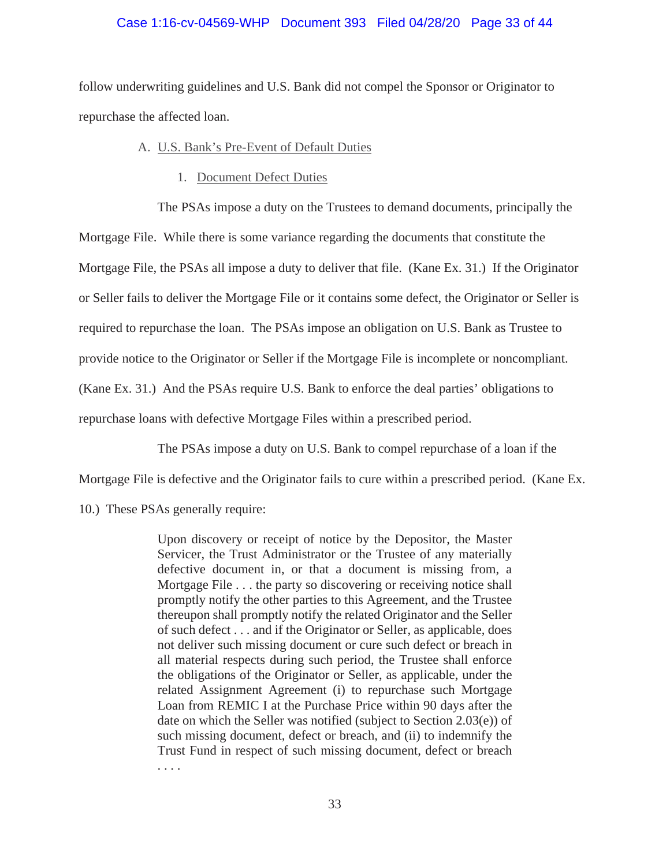## Case 1:16-cv-04569-WHP Document 393 Filed 04/28/20 Page 33 of 44

follow underwriting guidelines and U.S. Bank did not compel the Sponsor or Originator to repurchase the affected loan.

#### A. U.S. Bank's Pre-Event of Default Duties

1. Document Defect Duties

The PSAs impose a duty on the Trustees to demand documents, principally the

Mortgage File. While there is some variance regarding the documents that constitute the

Mortgage File, the PSAs all impose a duty to deliver that file. (Kane Ex. 31.) If the Originator

or Seller fails to deliver the Mortgage File or it contains some defect, the Originator or Seller is

required to repurchase the loan. The PSAs impose an obligation on U.S. Bank as Trustee to

provide notice to the Originator or Seller if the Mortgage File is incomplete or noncompliant.

(Kane Ex. 31.) And the PSAs require U.S. Bank to enforce the deal parties' obligations to

repurchase loans with defective Mortgage Files within a prescribed period.

The PSAs impose a duty on U.S. Bank to compel repurchase of a loan if the

Mortgage File is defective and the Originator fails to cure within a prescribed period. (Kane Ex.

10.) These PSAs generally require:

Upon discovery or receipt of notice by the Depositor, the Master Servicer, the Trust Administrator or the Trustee of any materially defective document in, or that a document is missing from, a Mortgage File . . . the party so discovering or receiving notice shall promptly notify the other parties to this Agreement, and the Trustee thereupon shall promptly notify the related Originator and the Seller of such defect . . . and if the Originator or Seller, as applicable, does not deliver such missing document or cure such defect or breach in all material respects during such period, the Trustee shall enforce the obligations of the Originator or Seller, as applicable, under the related Assignment Agreement (i) to repurchase such Mortgage Loan from REMIC I at the Purchase Price within 90 days after the date on which the Seller was notified (subject to Section 2.03(e)) of such missing document, defect or breach, and (ii) to indemnify the Trust Fund in respect of such missing document, defect or breach . . . .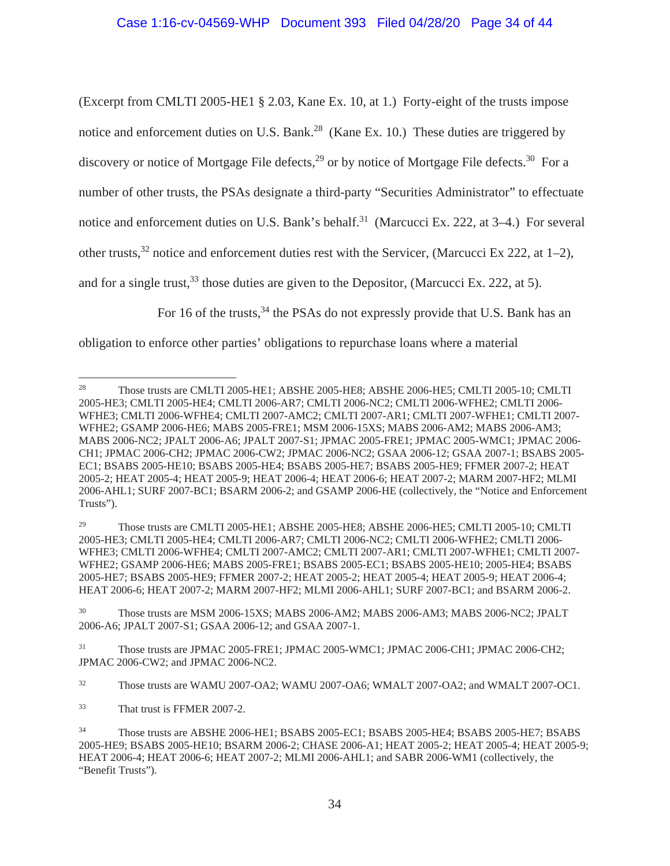(Excerpt from CMLTI 2005-HE1 § 2.03, Kane Ex. 10, at 1.) Forty-eight of the trusts impose notice and enforcement duties on U.S. Bank.<sup>28</sup> (Kane Ex. 10.) These duties are triggered by discovery or notice of Mortgage File defects,<sup>29</sup> or by notice of Mortgage File defects.<sup>30</sup> For a number of other trusts, the PSAs designate a third-party "Securities Administrator" to effectuate notice and enforcement duties on U.S. Bank's behalf.<sup>31</sup> (Marcucci Ex. 222, at 3–4.) For several other trusts,<sup>32</sup> notice and enforcement duties rest with the Servicer, (Marcucci Ex 222, at 1–2), and for a single trust,  $33$  those duties are given to the Depositor, (Marcucci Ex. 222, at 5).

For 16 of the trusts,<sup>34</sup> the PSAs do not expressly provide that U.S. Bank has an

obligation to enforce other parties' obligations to repurchase loans where a material

<sup>29</sup> Those trusts are CMLTI 2005-HE1; ABSHE 2005-HE8; ABSHE 2006-HE5; CMLTI 2005-10; CMLTI 2005-HE3; CMLTI 2005-HE4; CMLTI 2006-AR7; CMLTI 2006-NC2; CMLTI 2006-WFHE2; CMLTI 2006- WFHE3; CMLTI 2006-WFHE4; CMLTI 2007-AMC2; CMLTI 2007-AR1; CMLTI 2007-WFHE1; CMLTI 2007- WFHE2; GSAMP 2006-HE6; MABS 2005-FRE1; BSABS 2005-EC1; BSABS 2005-HE10; 2005-HE4; BSABS 2005-HE7; BSABS 2005-HE9; FFMER 2007-2; HEAT 2005-2; HEAT 2005-4; HEAT 2005-9; HEAT 2006-4; HEAT 2006-6; HEAT 2007-2; MARM 2007-HF2; MLMI 2006-AHL1; SURF 2007-BC1; and BSARM 2006-2.

<sup>30</sup> Those trusts are MSM 2006-15XS; MABS 2006-AM2; MABS 2006-AM3; MABS 2006-NC2; JPALT 2006-A6; JPALT 2007-S1; GSAA 2006-12; and GSAA 2007-1.

<sup>31</sup> Those trusts are JPMAC 2005-FRE1; JPMAC 2005-WMC1; JPMAC 2006-CH1; JPMAC 2006-CH2; JPMAC 2006-CW2; and JPMAC 2006-NC2.

<sup>32</sup> Those trusts are WAMU 2007-OA2; WAMU 2007-OA6; WMALT 2007-OA2; and WMALT 2007-OC1.

<sup>33</sup> That trust is FFMER 2007-2.

<sup>28</sup> Those trusts are CMLTI 2005-HE1; ABSHE 2005-HE8; ABSHE 2006-HE5; CMLTI 2005-10; CMLTI 2005-HE3; CMLTI 2005-HE4; CMLTI 2006-AR7; CMLTI 2006-NC2; CMLTI 2006-WFHE2; CMLTI 2006- WFHE3; CMLTI 2006-WFHE4; CMLTI 2007-AMC2; CMLTI 2007-AR1; CMLTI 2007-WFHE1; CMLTI 2007- WFHE2; GSAMP 2006-HE6; MABS 2005-FRE1; MSM 2006-15XS; MABS 2006-AM2; MABS 2006-AM3; MABS 2006-NC2; JPALT 2006-A6; JPALT 2007-S1; JPMAC 2005-FRE1; JPMAC 2005-WMC1; JPMAC 2006- CH1; JPMAC 2006-CH2; JPMAC 2006-CW2; JPMAC 2006-NC2; GSAA 2006-12; GSAA 2007-1; BSABS 2005- EC1; BSABS 2005-HE10; BSABS 2005-HE4; BSABS 2005-HE7; BSABS 2005-HE9; FFMER 2007-2; HEAT 2005-2; HEAT 2005-4; HEAT 2005-9; HEAT 2006-4; HEAT 2006-6; HEAT 2007-2; MARM 2007-HF2; MLMI 2006-AHL1; SURF 2007-BC1; BSARM 2006-2; and GSAMP 2006-HE (collectively, the "Notice and Enforcement Trusts").

<sup>34</sup> Those trusts are ABSHE 2006-HE1; BSABS 2005-EC1; BSABS 2005-HE4; BSABS 2005-HE7; BSABS 2005-HE9; BSABS 2005-HE10; BSARM 2006-2; CHASE 2006-A1; HEAT 2005-2; HEAT 2005-4; HEAT 2005-9; HEAT 2006-4; HEAT 2006-6; HEAT 2007-2; MLMI 2006-AHL1; and SABR 2006-WM1 (collectively, the "Benefit Trusts").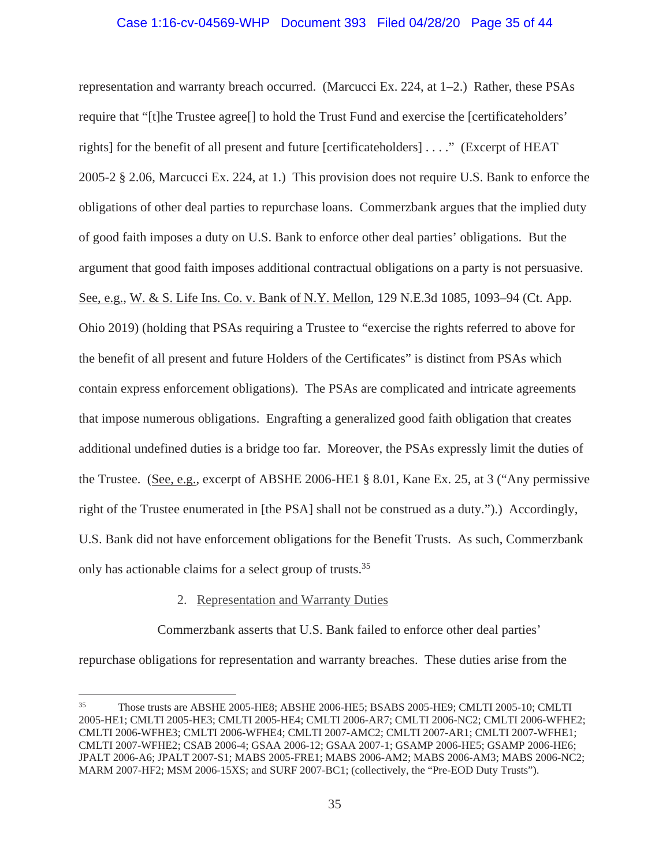## Case 1:16-cv-04569-WHP Document 393 Filed 04/28/20 Page 35 of 44

representation and warranty breach occurred. (Marcucci Ex. 224, at 1–2.) Rather, these PSAs require that "[t]he Trustee agree[] to hold the Trust Fund and exercise the [certificateholders' rights] for the benefit of all present and future [certificateholders] . . . ." (Excerpt of HEAT 2005-2 § 2.06, Marcucci Ex. 224, at 1.) This provision does not require U.S. Bank to enforce the obligations of other deal parties to repurchase loans. Commerzbank argues that the implied duty of good faith imposes a duty on U.S. Bank to enforce other deal parties' obligations. But the argument that good faith imposes additional contractual obligations on a party is not persuasive. See, e.g., W. & S. Life Ins. Co. v. Bank of N.Y. Mellon, 129 N.E.3d 1085, 1093–94 (Ct. App. Ohio 2019) (holding that PSAs requiring a Trustee to "exercise the rights referred to above for the benefit of all present and future Holders of the Certificates" is distinct from PSAs which contain express enforcement obligations). The PSAs are complicated and intricate agreements that impose numerous obligations. Engrafting a generalized good faith obligation that creates additional undefined duties is a bridge too far. Moreover, the PSAs expressly limit the duties of the Trustee. (See, e.g., excerpt of ABSHE 2006-HE1 § 8.01, Kane Ex. 25, at 3 ("Any permissive right of the Trustee enumerated in [the PSA] shall not be construed as a duty.").) Accordingly, U.S. Bank did not have enforcement obligations for the Benefit Trusts. As such, Commerzbank only has actionable claims for a select group of trusts.35

## 2. Representation and Warranty Duties

Commerzbank asserts that U.S. Bank failed to enforce other deal parties'

repurchase obligations for representation and warranty breaches. These duties arise from the

<sup>35</sup> Those trusts are ABSHE 2005-HE8; ABSHE 2006-HE5; BSABS 2005-HE9; CMLTI 2005-10; CMLTI 2005-HE1; CMLTI 2005-HE3; CMLTI 2005-HE4; CMLTI 2006-AR7; CMLTI 2006-NC2; CMLTI 2006-WFHE2; CMLTI 2006-WFHE3; CMLTI 2006-WFHE4; CMLTI 2007-AMC2; CMLTI 2007-AR1; CMLTI 2007-WFHE1; CMLTI 2007-WFHE2; CSAB 2006-4; GSAA 2006-12; GSAA 2007-1; GSAMP 2006-HE5; GSAMP 2006-HE6; JPALT 2006-A6; JPALT 2007-S1; MABS 2005-FRE1; MABS 2006-AM2; MABS 2006-AM3; MABS 2006-NC2; MARM 2007-HF2; MSM 2006-15XS; and SURF 2007-BC1; (collectively, the "Pre-EOD Duty Trusts").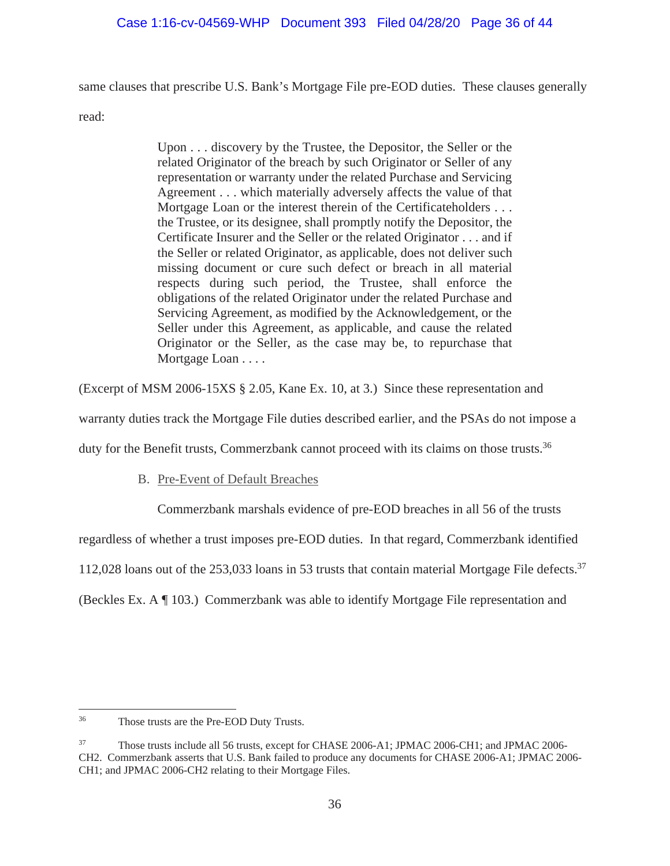# Case 1:16-cv-04569-WHP Document 393 Filed 04/28/20 Page 36 of 44

same clauses that prescribe U.S. Bank's Mortgage File pre-EOD duties. These clauses generally

read:

Upon . . . discovery by the Trustee, the Depositor, the Seller or the related Originator of the breach by such Originator or Seller of any representation or warranty under the related Purchase and Servicing Agreement . . . which materially adversely affects the value of that Mortgage Loan or the interest therein of the Certificateholders . . . the Trustee, or its designee, shall promptly notify the Depositor, the Certificate Insurer and the Seller or the related Originator . . . and if the Seller or related Originator, as applicable, does not deliver such missing document or cure such defect or breach in all material respects during such period, the Trustee, shall enforce the obligations of the related Originator under the related Purchase and Servicing Agreement, as modified by the Acknowledgement, or the Seller under this Agreement, as applicable, and cause the related Originator or the Seller, as the case may be, to repurchase that Mortgage Loan . . . .

(Excerpt of MSM 2006-15XS § 2.05, Kane Ex. 10, at 3.) Since these representation and

warranty duties track the Mortgage File duties described earlier, and the PSAs do not impose a

duty for the Benefit trusts, Commerzbank cannot proceed with its claims on those trusts.<sup>36</sup>

B. Pre-Event of Default Breaches

Commerzbank marshals evidence of pre-EOD breaches in all 56 of the trusts

regardless of whether a trust imposes pre-EOD duties. In that regard, Commerzbank identified

112,028 loans out of the 253,033 loans in 53 trusts that contain material Mortgage File defects.<sup>37</sup>

(Beckles Ex. A ¶ 103.) Commerzbank was able to identify Mortgage File representation and

<sup>36</sup> Those trusts are the Pre-EOD Duty Trusts.

<sup>&</sup>lt;sup>37</sup> Those trusts include all 56 trusts, except for CHASE 2006-A1; JPMAC 2006-CH1; and JPMAC 2006-CH2. Commerzbank asserts that U.S. Bank failed to produce any documents for CHASE 2006-A1; JPMAC 2006- CH1; and JPMAC 2006-CH2 relating to their Mortgage Files.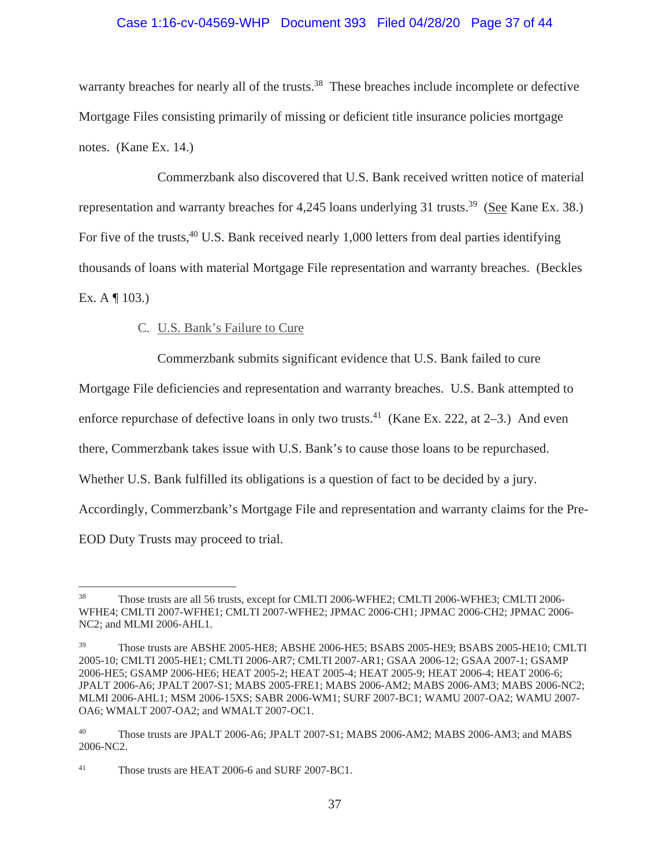## Case 1:16-cv-04569-WHP Document 393 Filed 04/28/20 Page 37 of 44

warranty breaches for nearly all of the trusts.<sup>38</sup> These breaches include incomplete or defective Mortgage Files consisting primarily of missing or deficient title insurance policies mortgage notes. (Kane Ex. 14.)

Commerzbank also discovered that U.S. Bank received written notice of material representation and warranty breaches for 4,245 loans underlying 31 trusts.<sup>39</sup> (See Kane Ex. 38.) For five of the trusts, <sup>40</sup> U.S. Bank received nearly 1,000 letters from deal parties identifying thousands of loans with material Mortgage File representation and warranty breaches. (Beckles Ex. A ¶ 103.)

# C. U.S. Bank's Failure to Cure

Commerzbank submits significant evidence that U.S. Bank failed to cure

Mortgage File deficiencies and representation and warranty breaches. U.S. Bank attempted to

enforce repurchase of defective loans in only two trusts.<sup>41</sup> (Kane Ex. 222, at 2–3.) And even

there, Commerzbank takes issue with U.S. Bank's to cause those loans to be repurchased.

Whether U.S. Bank fulfilled its obligations is a question of fact to be decided by a jury.

Accordingly, Commerzbank's Mortgage File and representation and warranty claims for the Pre-

EOD Duty Trusts may proceed to trial.

<sup>38</sup> Those trusts are all 56 trusts, except for CMLTI 2006-WFHE2; CMLTI 2006-WFHE3; CMLTI 2006- WFHE4; CMLTI 2007-WFHE1; CMLTI 2007-WFHE2; JPMAC 2006-CH1; JPMAC 2006-CH2; JPMAC 2006- NC2; and MLMI 2006-AHL1.

<sup>39</sup> Those trusts are ABSHE 2005-HE8; ABSHE 2006-HE5; BSABS 2005-HE9; BSABS 2005-HE10; CMLTI 2005-10; CMLTI 2005-HE1; CMLTI 2006-AR7; CMLTI 2007-AR1; GSAA 2006-12; GSAA 2007-1; GSAMP 2006-HE5; GSAMP 2006-HE6; HEAT 2005-2; HEAT 2005-4; HEAT 2005-9; HEAT 2006-4; HEAT 2006-6; JPALT 2006-A6; JPALT 2007-S1; MABS 2005-FRE1; MABS 2006-AM2; MABS 2006-AM3; MABS 2006-NC2; MLMI 2006-AHL1; MSM 2006-15XS; SABR 2006-WM1; SURF 2007-BC1; WAMU 2007-OA2; WAMU 2007- OA6; WMALT 2007-OA2; and WMALT 2007-OC1.

<sup>40</sup> Those trusts are JPALT 2006-A6; JPALT 2007-S1; MABS 2006-AM2; MABS 2006-AM3; and MABS 2006-NC2.

<sup>41</sup> Those trusts are HEAT 2006-6 and SURF 2007-BC1.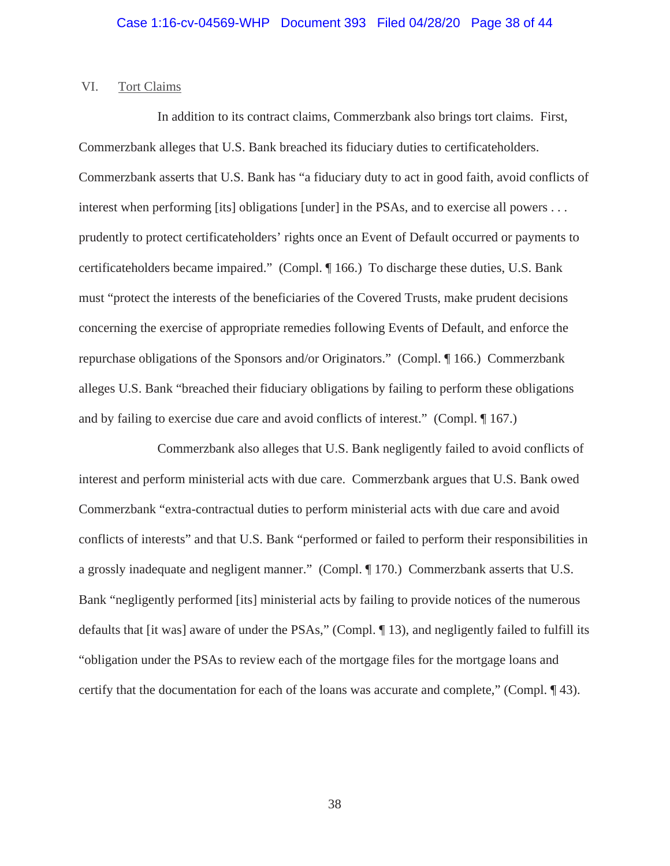## VI. Tort Claims

In addition to its contract claims, Commerzbank also brings tort claims. First, Commerzbank alleges that U.S. Bank breached its fiduciary duties to certificateholders. Commerzbank asserts that U.S. Bank has "a fiduciary duty to act in good faith, avoid conflicts of interest when performing [its] obligations [under] in the PSAs, and to exercise all powers . . . prudently to protect certificateholders' rights once an Event of Default occurred or payments to certificateholders became impaired." (Compl. ¶ 166.) To discharge these duties, U.S. Bank must "protect the interests of the beneficiaries of the Covered Trusts, make prudent decisions concerning the exercise of appropriate remedies following Events of Default, and enforce the repurchase obligations of the Sponsors and/or Originators." (Compl. ¶ 166.) Commerzbank alleges U.S. Bank "breached their fiduciary obligations by failing to perform these obligations and by failing to exercise due care and avoid conflicts of interest." (Compl. ¶ 167.)

Commerzbank also alleges that U.S. Bank negligently failed to avoid conflicts of interest and perform ministerial acts with due care. Commerzbank argues that U.S. Bank owed Commerzbank "extra-contractual duties to perform ministerial acts with due care and avoid conflicts of interests" and that U.S. Bank "performed or failed to perform their responsibilities in a grossly inadequate and negligent manner." (Compl. ¶ 170.) Commerzbank asserts that U.S. Bank "negligently performed [its] ministerial acts by failing to provide notices of the numerous defaults that [it was] aware of under the PSAs," (Compl. ¶ 13), and negligently failed to fulfill its "obligation under the PSAs to review each of the mortgage files for the mortgage loans and certify that the documentation for each of the loans was accurate and complete," (Compl. ¶ 43).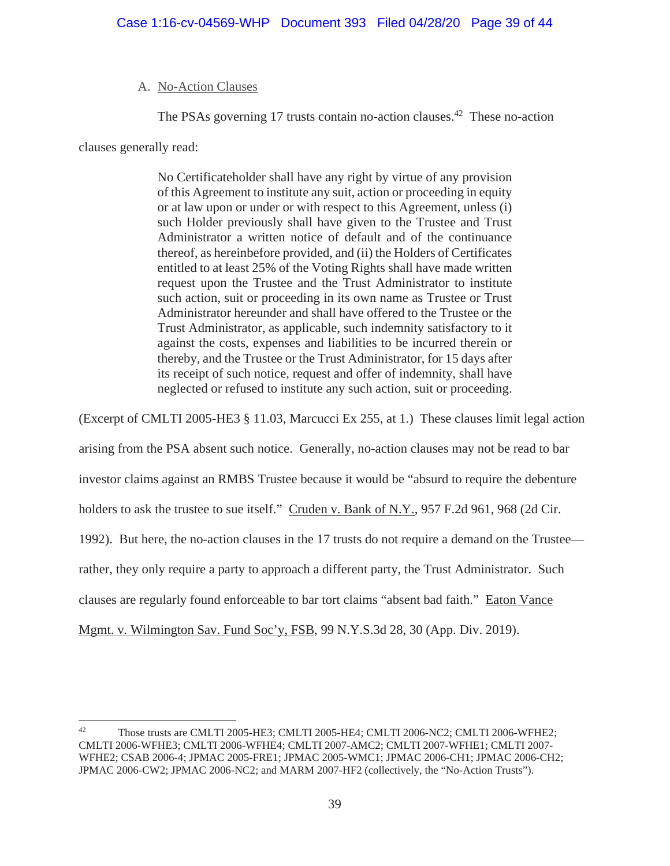# A. No-Action Clauses

The PSAs governing 17 trusts contain no-action clauses.<sup>42</sup> These no-action

clauses generally read:

No Certificateholder shall have any right by virtue of any provision of this Agreement to institute any suit, action or proceeding in equity or at law upon or under or with respect to this Agreement, unless (i) such Holder previously shall have given to the Trustee and Trust Administrator a written notice of default and of the continuance thereof, as hereinbefore provided, and (ii) the Holders of Certificates entitled to at least 25% of the Voting Rights shall have made written request upon the Trustee and the Trust Administrator to institute such action, suit or proceeding in its own name as Trustee or Trust Administrator hereunder and shall have offered to the Trustee or the Trust Administrator, as applicable, such indemnity satisfactory to it against the costs, expenses and liabilities to be incurred therein or thereby, and the Trustee or the Trust Administrator, for 15 days after its receipt of such notice, request and offer of indemnity, shall have neglected or refused to institute any such action, suit or proceeding.

(Excerpt of CMLTI 2005-HE3 § 11.03, Marcucci Ex 255, at 1.) These clauses limit legal action

arising from the PSA absent such notice. Generally, no-action clauses may not be read to bar

investor claims against an RMBS Trustee because it would be "absurd to require the debenture

holders to ask the trustee to sue itself." Cruden v. Bank of N.Y., 957 F.2d 961, 968 (2d Cir.

1992). But here, the no-action clauses in the 17 trusts do not require a demand on the Trustee—

rather, they only require a party to approach a different party, the Trust Administrator. Such

clauses are regularly found enforceable to bar tort claims "absent bad faith." Eaton Vance

Mgmt. v. Wilmington Sav. Fund Soc'y, FSB, 99 N.Y.S.3d 28, 30 (App. Div. 2019).

<sup>&</sup>lt;sup>42</sup> Those trusts are CMLTI 2005-HE3; CMLTI 2005-HE4; CMLTI 2006-NC2; CMLTI 2006-WFHE2; CMLTI 2006-WFHE3; CMLTI 2006-WFHE4; CMLTI 2007-AMC2; CMLTI 2007-WFHE1; CMLTI 2007- WFHE2; CSAB 2006-4; JPMAC 2005-FRE1; JPMAC 2005-WMC1; JPMAC 2006-CH1; JPMAC 2006-CH2; JPMAC 2006-CW2; JPMAC 2006-NC2; and MARM 2007-HF2 (collectively, the "No-Action Trusts").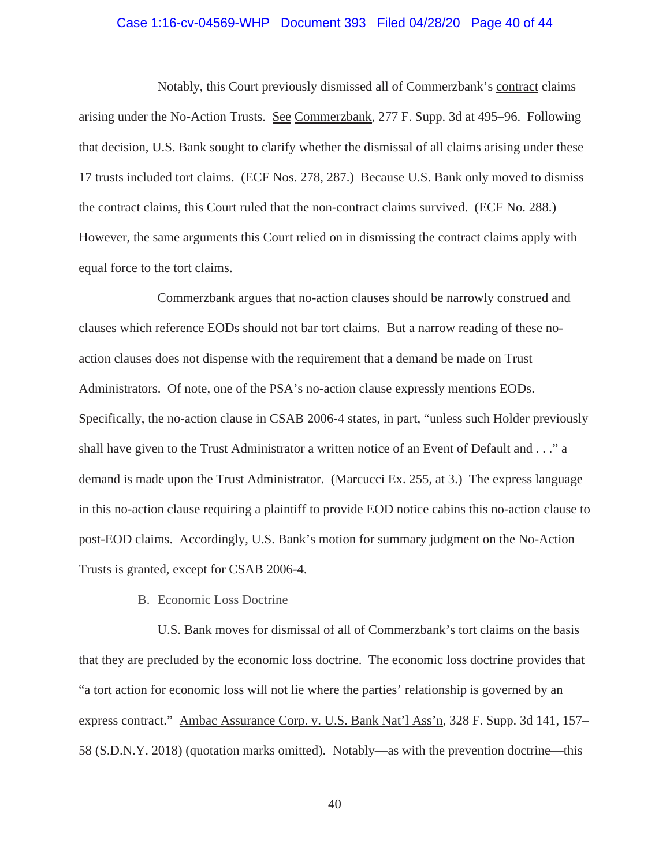#### Case 1:16-cv-04569-WHP Document 393 Filed 04/28/20 Page 40 of 44

Notably, this Court previously dismissed all of Commerzbank's contract claims arising under the No-Action Trusts. See Commerzbank, 277 F. Supp. 3d at 495–96. Following that decision, U.S. Bank sought to clarify whether the dismissal of all claims arising under these 17 trusts included tort claims. (ECF Nos. 278, 287.) Because U.S. Bank only moved to dismiss the contract claims, this Court ruled that the non-contract claims survived. (ECF No. 288.) However, the same arguments this Court relied on in dismissing the contract claims apply with equal force to the tort claims.

Commerzbank argues that no-action clauses should be narrowly construed and clauses which reference EODs should not bar tort claims. But a narrow reading of these noaction clauses does not dispense with the requirement that a demand be made on Trust Administrators. Of note, one of the PSA's no-action clause expressly mentions EODs. Specifically, the no-action clause in CSAB 2006-4 states, in part, "unless such Holder previously shall have given to the Trust Administrator a written notice of an Event of Default and . . ." a demand is made upon the Trust Administrator. (Marcucci Ex. 255, at 3.) The express language in this no-action clause requiring a plaintiff to provide EOD notice cabins this no-action clause to post-EOD claims. Accordingly, U.S. Bank's motion for summary judgment on the No-Action Trusts is granted, except for CSAB 2006-4.

## B. Economic Loss Doctrine

U.S. Bank moves for dismissal of all of Commerzbank's tort claims on the basis that they are precluded by the economic loss doctrine. The economic loss doctrine provides that "a tort action for economic loss will not lie where the parties' relationship is governed by an express contract." Ambac Assurance Corp. v. U.S. Bank Nat'l Ass'n, 328 F. Supp. 3d 141, 157– 58 (S.D.N.Y. 2018) (quotation marks omitted). Notably—as with the prevention doctrine—this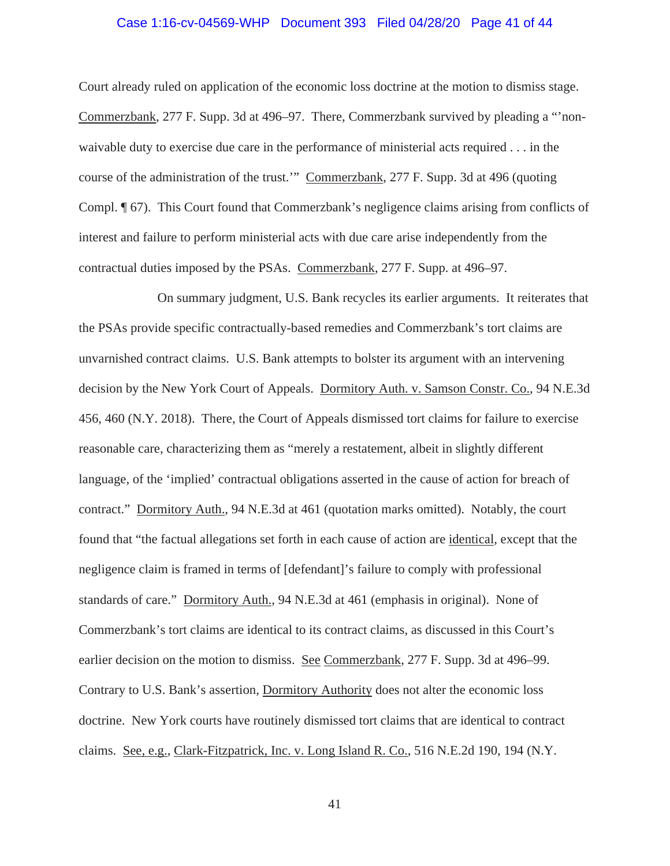#### Case 1:16-cv-04569-WHP Document 393 Filed 04/28/20 Page 41 of 44

Court already ruled on application of the economic loss doctrine at the motion to dismiss stage. Commerzbank, 277 F. Supp. 3d at 496–97. There, Commerzbank survived by pleading a "'nonwaivable duty to exercise due care in the performance of ministerial acts required . . . in the course of the administration of the trust.'" Commerzbank, 277 F. Supp. 3d at 496 (quoting Compl. ¶ 67). This Court found that Commerzbank's negligence claims arising from conflicts of interest and failure to perform ministerial acts with due care arise independently from the contractual duties imposed by the PSAs. Commerzbank, 277 F. Supp. at 496–97.

On summary judgment, U.S. Bank recycles its earlier arguments. It reiterates that the PSAs provide specific contractually-based remedies and Commerzbank's tort claims are unvarnished contract claims. U.S. Bank attempts to bolster its argument with an intervening decision by the New York Court of Appeals. Dormitory Auth. v. Samson Constr. Co., 94 N.E.3d 456, 460 (N.Y. 2018). There, the Court of Appeals dismissed tort claims for failure to exercise reasonable care, characterizing them as "merely a restatement, albeit in slightly different language, of the 'implied' contractual obligations asserted in the cause of action for breach of contract." Dormitory Auth., 94 N.E.3d at 461 (quotation marks omitted). Notably, the court found that "the factual allegations set forth in each cause of action are identical, except that the negligence claim is framed in terms of [defendant]'s failure to comply with professional standards of care." Dormitory Auth., 94 N.E.3d at 461 (emphasis in original). None of Commerzbank's tort claims are identical to its contract claims, as discussed in this Court's earlier decision on the motion to dismiss. See Commerzbank, 277 F. Supp. 3d at 496–99. Contrary to U.S. Bank's assertion, Dormitory Authority does not alter the economic loss doctrine. New York courts have routinely dismissed tort claims that are identical to contract claims. See, e.g., Clark-Fitzpatrick, Inc. v. Long Island R. Co., 516 N.E.2d 190, 194 (N.Y.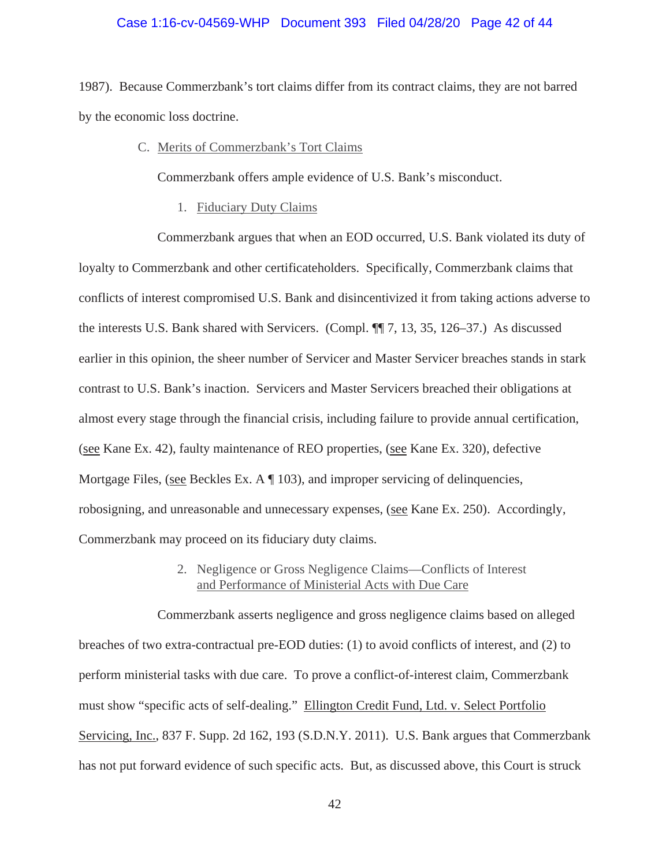#### Case 1:16-cv-04569-WHP Document 393 Filed 04/28/20 Page 42 of 44

1987). Because Commerzbank's tort claims differ from its contract claims, they are not barred by the economic loss doctrine.

#### C. Merits of Commerzbank's Tort Claims

Commerzbank offers ample evidence of U.S. Bank's misconduct.

1. Fiduciary Duty Claims

Commerzbank argues that when an EOD occurred, U.S. Bank violated its duty of loyalty to Commerzbank and other certificateholders. Specifically, Commerzbank claims that conflicts of interest compromised U.S. Bank and disincentivized it from taking actions adverse to the interests U.S. Bank shared with Servicers. (Compl. ¶¶ 7, 13, 35, 126–37.) As discussed earlier in this opinion, the sheer number of Servicer and Master Servicer breaches stands in stark contrast to U.S. Bank's inaction. Servicers and Master Servicers breached their obligations at almost every stage through the financial crisis, including failure to provide annual certification, (see Kane Ex. 42), faulty maintenance of REO properties, (see Kane Ex. 320), defective Mortgage Files, (see Beckles Ex. A ¶ 103), and improper servicing of delinquencies, robosigning, and unreasonable and unnecessary expenses, (see Kane Ex. 250). Accordingly, Commerzbank may proceed on its fiduciary duty claims.

## 2. Negligence or Gross Negligence Claims—Conflicts of Interest and Performance of Ministerial Acts with Due Care

Commerzbank asserts negligence and gross negligence claims based on alleged breaches of two extra-contractual pre-EOD duties: (1) to avoid conflicts of interest, and (2) to perform ministerial tasks with due care. To prove a conflict-of-interest claim, Commerzbank must show "specific acts of self-dealing." Ellington Credit Fund, Ltd. v. Select Portfolio Servicing, Inc., 837 F. Supp. 2d 162, 193 (S.D.N.Y. 2011). U.S. Bank argues that Commerzbank has not put forward evidence of such specific acts. But, as discussed above, this Court is struck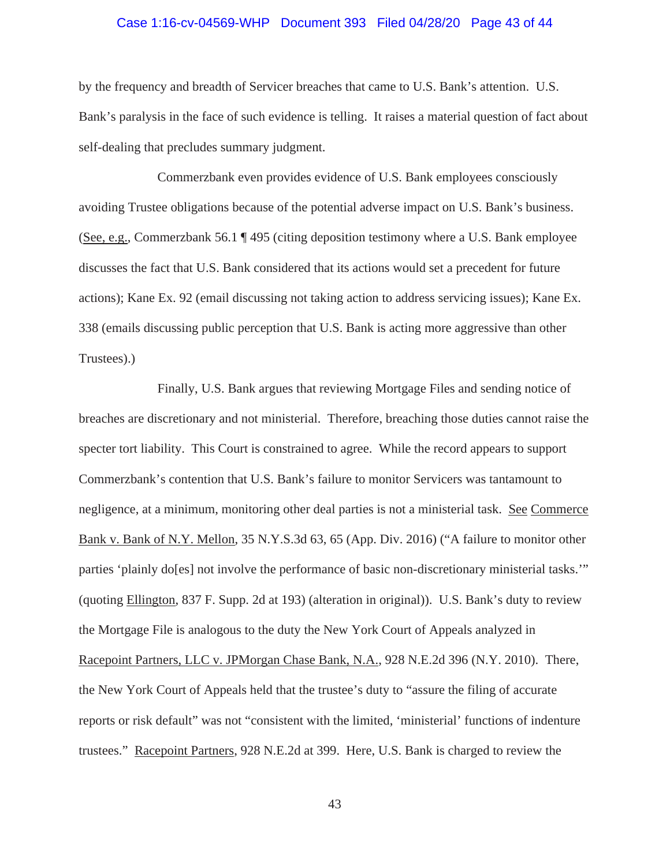#### Case 1:16-cv-04569-WHP Document 393 Filed 04/28/20 Page 43 of 44

by the frequency and breadth of Servicer breaches that came to U.S. Bank's attention. U.S. Bank's paralysis in the face of such evidence is telling. It raises a material question of fact about self-dealing that precludes summary judgment.

Commerzbank even provides evidence of U.S. Bank employees consciously avoiding Trustee obligations because of the potential adverse impact on U.S. Bank's business. (See, e.g., Commerzbank 56.1 ¶ 495 (citing deposition testimony where a U.S. Bank employee discusses the fact that U.S. Bank considered that its actions would set a precedent for future actions); Kane Ex. 92 (email discussing not taking action to address servicing issues); Kane Ex. 338 (emails discussing public perception that U.S. Bank is acting more aggressive than other Trustees).)

Finally, U.S. Bank argues that reviewing Mortgage Files and sending notice of breaches are discretionary and not ministerial. Therefore, breaching those duties cannot raise the specter tort liability. This Court is constrained to agree. While the record appears to support Commerzbank's contention that U.S. Bank's failure to monitor Servicers was tantamount to negligence, at a minimum, monitoring other deal parties is not a ministerial task. See Commerce Bank v. Bank of N.Y. Mellon, 35 N.Y.S.3d 63, 65 (App. Div. 2016) ("A failure to monitor other parties 'plainly do[es] not involve the performance of basic non-discretionary ministerial tasks.'" (quoting Ellington, 837 F. Supp. 2d at 193) (alteration in original)). U.S. Bank's duty to review the Mortgage File is analogous to the duty the New York Court of Appeals analyzed in Racepoint Partners, LLC v. JPMorgan Chase Bank, N.A., 928 N.E.2d 396 (N.Y. 2010). There, the New York Court of Appeals held that the trustee's duty to "assure the filing of accurate reports or risk default" was not "consistent with the limited, 'ministerial' functions of indenture trustees." Racepoint Partners, 928 N.E.2d at 399. Here, U.S. Bank is charged to review the